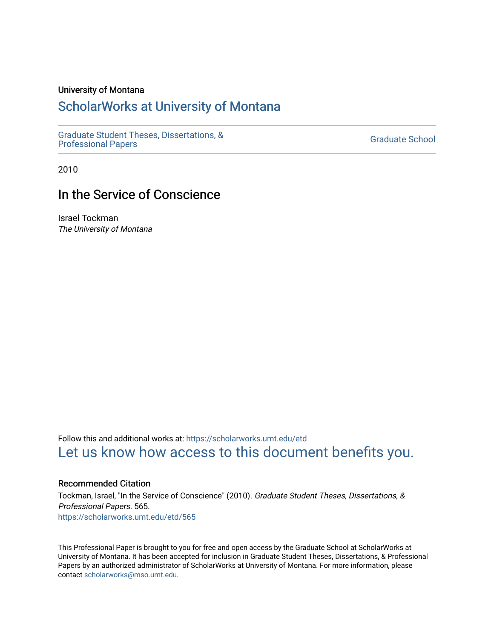### University of Montana

## [ScholarWorks at University of Montana](https://scholarworks.umt.edu/)

[Graduate Student Theses, Dissertations, &](https://scholarworks.umt.edu/etd) Graduate Student Theses, Dissertations, & Contract Controller Controller Graduate School [Professional Papers](https://scholarworks.umt.edu/etd)

2010

## In the Service of Conscience

Israel Tockman The University of Montana

Follow this and additional works at: [https://scholarworks.umt.edu/etd](https://scholarworks.umt.edu/etd?utm_source=scholarworks.umt.edu%2Fetd%2F565&utm_medium=PDF&utm_campaign=PDFCoverPages)  [Let us know how access to this document benefits you.](https://goo.gl/forms/s2rGfXOLzz71qgsB2) 

#### Recommended Citation

Tockman, Israel, "In the Service of Conscience" (2010). Graduate Student Theses, Dissertations, & Professional Papers. 565. [https://scholarworks.umt.edu/etd/565](https://scholarworks.umt.edu/etd/565?utm_source=scholarworks.umt.edu%2Fetd%2F565&utm_medium=PDF&utm_campaign=PDFCoverPages) 

This Professional Paper is brought to you for free and open access by the Graduate School at ScholarWorks at University of Montana. It has been accepted for inclusion in Graduate Student Theses, Dissertations, & Professional Papers by an authorized administrator of ScholarWorks at University of Montana. For more information, please contact [scholarworks@mso.umt.edu](mailto:scholarworks@mso.umt.edu).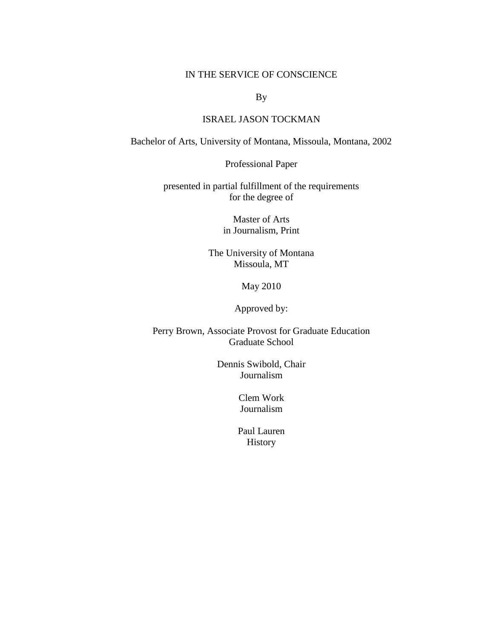### IN THE SERVICE OF CONSCIENCE

By

## ISRAEL JASON TOCKMAN

Bachelor of Arts, University of Montana, Missoula, Montana, 2002

Professional Paper

presented in partial fulfillment of the requirements for the degree of

> Master of Arts in Journalism, Print

The University of Montana Missoula, MT

May 2010

Approved by:

Perry Brown, Associate Provost for Graduate Education Graduate School

> Dennis Swibold, Chair Journalism

> > Clem Work Journalism

Paul Lauren History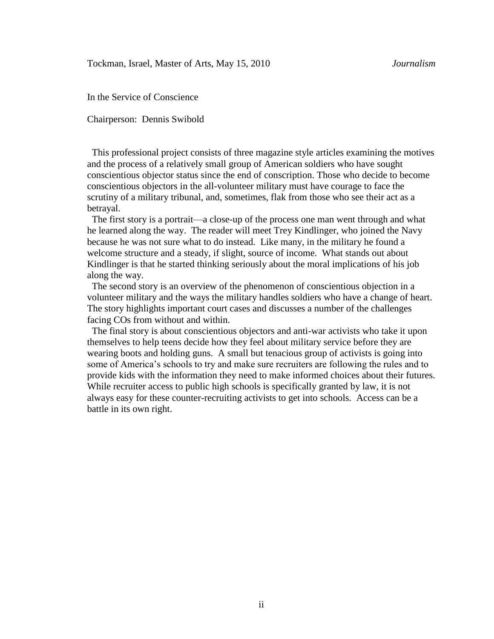In the Service of Conscience

Chairperson: Dennis Swibold

 This professional project consists of three magazine style articles examining the motives and the process of a relatively small group of American soldiers who have sought conscientious objector status since the end of conscription. Those who decide to become conscientious objectors in the all-volunteer military must have courage to face the scrutiny of a military tribunal, and, sometimes, flak from those who see their act as a betrayal.

 The first story is a portrait—a close-up of the process one man went through and what he learned along the way. The reader will meet Trey Kindlinger, who joined the Navy because he was not sure what to do instead. Like many, in the military he found a welcome structure and a steady, if slight, source of income. What stands out about Kindlinger is that he started thinking seriously about the moral implications of his job along the way.

 The second story is an overview of the phenomenon of conscientious objection in a volunteer military and the ways the military handles soldiers who have a change of heart. The story highlights important court cases and discusses a number of the challenges facing COs from without and within.

 The final story is about conscientious objectors and anti-war activists who take it upon themselves to help teens decide how they feel about military service before they are wearing boots and holding guns. A small but tenacious group of activists is going into some of America's schools to try and make sure recruiters are following the rules and to provide kids with the information they need to make informed choices about their futures. While recruiter access to public high schools is specifically granted by law, it is not always easy for these counter-recruiting activists to get into schools. Access can be a battle in its own right.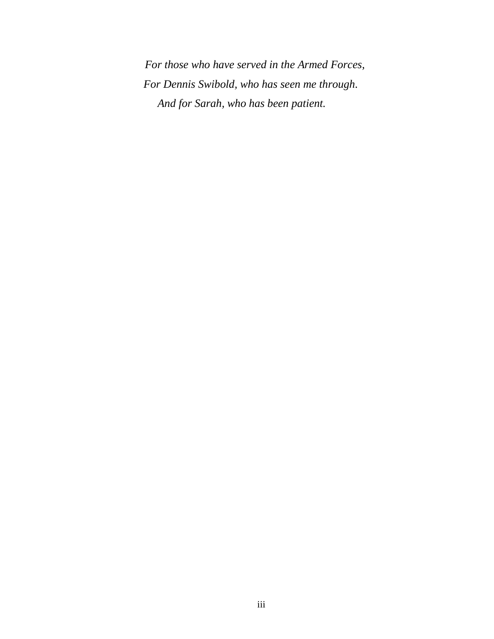*For those who have served in the Armed Forces, For Dennis Swibold, who has seen me through. And for Sarah, who has been patient.*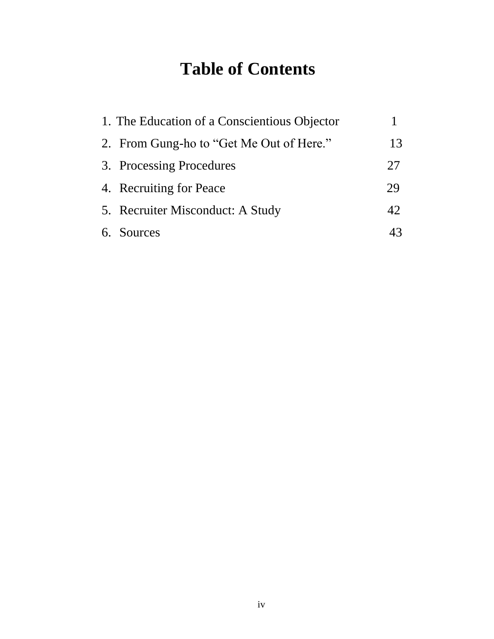# **Table of Contents**

| 1. The Education of a Conscientious Objector |    |
|----------------------------------------------|----|
| 2. From Gung-ho to "Get Me Out of Here."     | 13 |
| 3. Processing Procedures                     | 27 |
| 4. Recruiting for Peace                      | 29 |
| 5. Recruiter Misconduct: A Study             | 42 |
| 6. Sources                                   |    |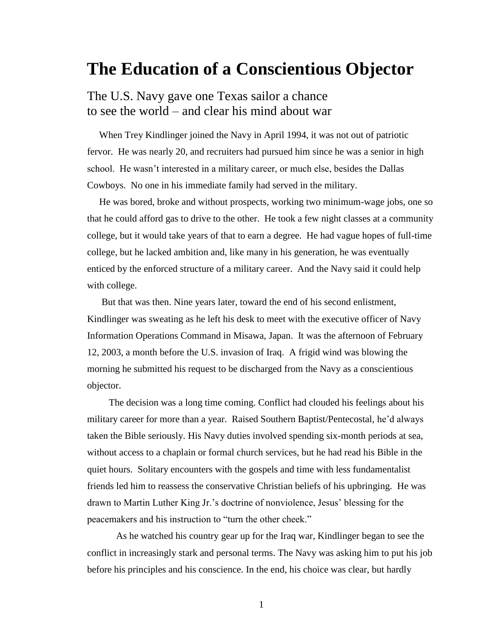# **The Education of a Conscientious Objector**

## The U.S. Navy gave one Texas sailor a chance to see the world – and clear his mind about war

 When Trey Kindlinger joined the Navy in April 1994, it was not out of patriotic fervor. He was nearly 20, and recruiters had pursued him since he was a senior in high school. He wasn't interested in a military career, or much else, besides the Dallas Cowboys. No one in his immediate family had served in the military.

 He was bored, broke and without prospects, working two minimum-wage jobs, one so that he could afford gas to drive to the other. He took a few night classes at a community college, but it would take years of that to earn a degree. He had vague hopes of full-time college, but he lacked ambition and, like many in his generation, he was eventually enticed by the enforced structure of a military career. And the Navy said it could help with college.

 But that was then. Nine years later, toward the end of his second enlistment, Kindlinger was sweating as he left his desk to meet with the executive officer of Navy Information Operations Command in Misawa, Japan. It was the afternoon of February 12, 2003, a month before the U.S. invasion of Iraq. A frigid wind was blowing the morning he submitted his request to be discharged from the Navy as a conscientious objector.

 The decision was a long time coming. Conflict had clouded his feelings about his military career for more than a year. Raised Southern Baptist/Pentecostal, he'd always taken the Bible seriously. His Navy duties involved spending six-month periods at sea, without access to a chaplain or formal church services, but he had read his Bible in the quiet hours. Solitary encounters with the gospels and time with less fundamentalist friends led him to reassess the conservative Christian beliefs of his upbringing. He was drawn to Martin Luther King Jr.'s doctrine of nonviolence, Jesus' blessing for the peacemakers and his instruction to "turn the other cheek."

As he watched his country gear up for the Iraq war, Kindlinger began to see the conflict in increasingly stark and personal terms. The Navy was asking him to put his job before his principles and his conscience. In the end, his choice was clear, but hardly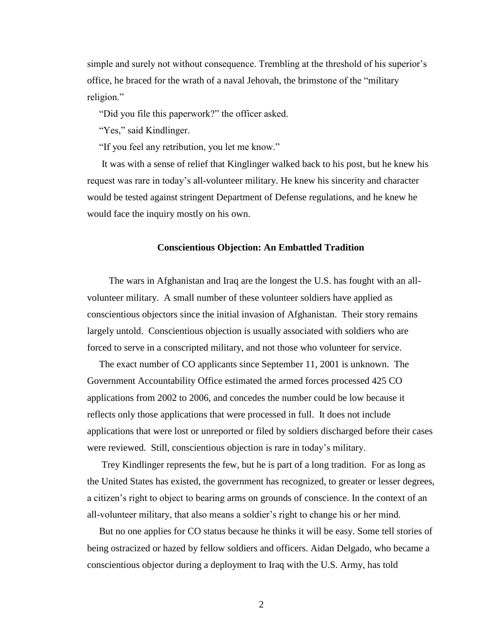simple and surely not without consequence. Trembling at the threshold of his superior's office, he braced for the wrath of a naval Jehovah, the brimstone of the "military religion."

"Did you file this paperwork?" the officer asked.

"Yes," said Kindlinger.

"If you feel any retribution, you let me know."

 It was with a sense of relief that Kinglinger walked back to his post, but he knew his request was rare in today's all-volunteer military. He knew his sincerity and character would be tested against stringent Department of Defense regulations, and he knew he would face the inquiry mostly on his own.

#### **Conscientious Objection: An Embattled Tradition**

 The wars in Afghanistan and Iraq are the longest the U.S. has fought with an allvolunteer military. A small number of these volunteer soldiers have applied as conscientious objectors since the initial invasion of Afghanistan. Their story remains largely untold.Conscientious objection is usually associated with soldiers who are forced to serve in a conscripted military, and not those who volunteer for service.

 The exact number of CO applicants since September 11, 2001 is unknown. The Government Accountability Office estimated the armed forces processed 425 CO applications from 2002 to 2006, and concedes the number could be low because it reflects only those applications that were processed in full. It does not include applications that were lost or unreported or filed by soldiers discharged before their cases were reviewed. Still, conscientious objection is rare in today's military.

 Trey Kindlinger represents the few, but he is part of a long tradition. For as long as the United States has existed, the government has recognized, to greater or lesser degrees, a citizen's right to object to bearing arms on grounds of conscience. In the context of an all-volunteer military, that also means a soldier's right to change his or her mind.

 But no one applies for CO status because he thinks it will be easy. Some tell stories of being ostracized or hazed by fellow soldiers and officers. Aidan Delgado, who became a conscientious objector during a deployment to Iraq with the U.S. Army, has told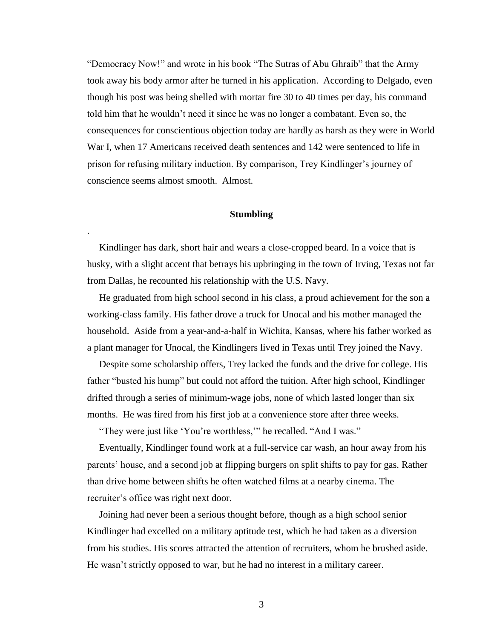"Democracy Now!" and wrote in his book "The Sutras of Abu Ghraib" that the Army took away his body armor after he turned in his application. According to Delgado, even though his post was being shelled with mortar fire 30 to 40 times per day, his command told him that he wouldn't need it since he was no longer a combatant. Even so, the consequences for conscientious objection today are hardly as harsh as they were in World War I, when 17 Americans received death sentences and 142 were sentenced to life in prison for refusing military induction. By comparison, Trey Kindlinger's journey of conscience seems almost smooth. Almost.

### **Stumbling**

.

 Kindlinger has dark, short hair and wears a close-cropped beard. In a voice that is husky, with a slight accent that betrays his upbringing in the town of Irving, Texas not far from Dallas, he recounted his relationship with the U.S. Navy.

 He graduated from high school second in his class, a proud achievement for the son a working-class family. His father drove a truck for Unocal and his mother managed the household. Aside from a year-and-a-half in Wichita, Kansas, where his father worked as a plant manager for Unocal, the Kindlingers lived in Texas until Trey joined the Navy.

 Despite some scholarship offers, Trey lacked the funds and the drive for college. His father "busted his hump" but could not afford the tuition. After high school, Kindlinger drifted through a series of minimum-wage jobs, none of which lasted longer than six months. He was fired from his first job at a convenience store after three weeks.

"They were just like 'You're worthless," he recalled. "And I was."

 Eventually, Kindlinger found work at a full-service car wash, an hour away from his parents' house, and a second job at flipping burgers on split shifts to pay for gas. Rather than drive home between shifts he often watched films at a nearby cinema. The recruiter's office was right next door.

 Joining had never been a serious thought before, though as a high school senior Kindlinger had excelled on a military aptitude test, which he had taken as a diversion from his studies. His scores attracted the attention of recruiters, whom he brushed aside. He wasn't strictly opposed to war, but he had no interest in a military career.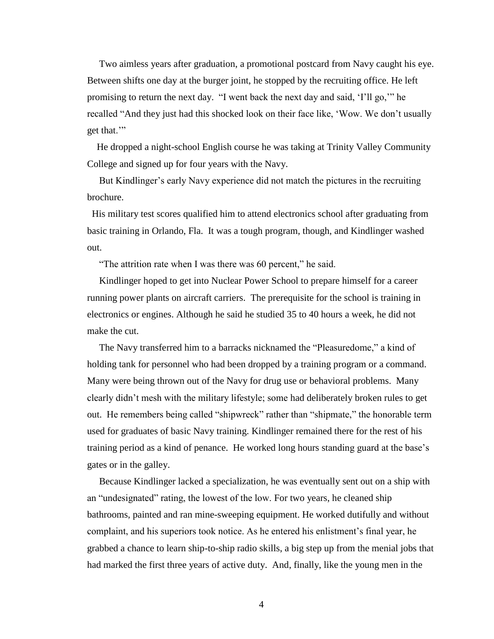Two aimless years after graduation, a promotional postcard from Navy caught his eye. Between shifts one day at the burger joint, he stopped by the recruiting office. He left promising to return the next day. "I went back the next day and said, 'I'll go,'" he recalled "And they just had this shocked look on their face like, 'Wow. We don't usually get that."

 He dropped a night-school English course he was taking at Trinity Valley Community College and signed up for four years with the Navy.

 But Kindlinger's early Navy experience did not match the pictures in the recruiting brochure.

 His military test scores qualified him to attend electronics school after graduating from basic training in Orlando, Fla. It was a tough program, though, and Kindlinger washed out.

"The attrition rate when I was there was 60 percent," he said.

 Kindlinger hoped to get into Nuclear Power School to prepare himself for a career running power plants on aircraft carriers. The prerequisite for the school is training in electronics or engines. Although he said he studied 35 to 40 hours a week, he did not make the cut.

The Navy transferred him to a barracks nicknamed the "Pleasuredome," a kind of holding tank for personnel who had been dropped by a training program or a command. Many were being thrown out of the Navy for drug use or behavioral problems. Many clearly didn't mesh with the military lifestyle; some had deliberately broken rules to get out. He remembers being called "shipwreck" rather than "shipmate," the honorable term used for graduates of basic Navy training. Kindlinger remained there for the rest of his training period as a kind of penance. He worked long hours standing guard at the base's gates or in the galley.

 Because Kindlinger lacked a specialization, he was eventually sent out on a ship with an "undesignated" rating, the lowest of the low. For two years, he cleaned ship bathrooms, painted and ran mine-sweeping equipment. He worked dutifully and without complaint, and his superiors took notice. As he entered his enlistment's final year, he grabbed a chance to learn ship-to-ship radio skills, a big step up from the menial jobs that had marked the first three years of active duty. And, finally, like the young men in the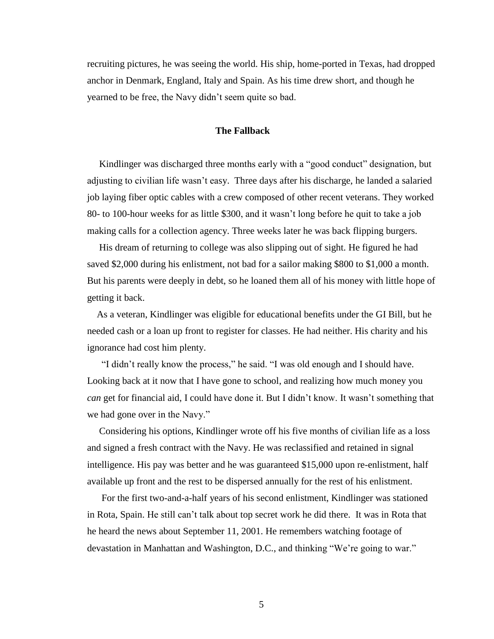recruiting pictures, he was seeing the world. His ship, home-ported in Texas, had dropped anchor in Denmark, England, Italy and Spain. As his time drew short, and though he yearned to be free, the Navy didn't seem quite so bad.

### **The Fallback**

Kindlinger was discharged three months early with a "good conduct" designation, but adjusting to civilian life wasn't easy. Three days after his discharge, he landed a salaried job laying fiber optic cables with a crew composed of other recent veterans. They worked 80- to 100-hour weeks for as little \$300, and it wasn't long before he quit to take a job making calls for a collection agency. Three weeks later he was back flipping burgers.

 His dream of returning to college was also slipping out of sight. He figured he had saved \$2,000 during his enlistment, not bad for a sailor making \$800 to \$1,000 a month. But his parents were deeply in debt, so he loaned them all of his money with little hope of getting it back.

 As a veteran, Kindlinger was eligible for educational benefits under the GI Bill, but he needed cash or a loan up front to register for classes. He had neither. His charity and his ignorance had cost him plenty.

"I didn't really know the process," he said. "I was old enough and I should have. Looking back at it now that I have gone to school, and realizing how much money you *can* get for financial aid, I could have done it. But I didn't know. It wasn't something that we had gone over in the Navy."

 Considering his options, Kindlinger wrote off his five months of civilian life as a loss and signed a fresh contract with the Navy. He was reclassified and retained in signal intelligence. His pay was better and he was guaranteed \$15,000 upon re-enlistment, half available up front and the rest to be dispersed annually for the rest of his enlistment.

 For the first two-and-a-half years of his second enlistment, Kindlinger was stationed in Rota, Spain. He still can't talk about top secret work he did there. It was in Rota that he heard the news about September 11, 2001. He remembers watching footage of devastation in Manhattan and Washington, D.C., and thinking "We're going to war."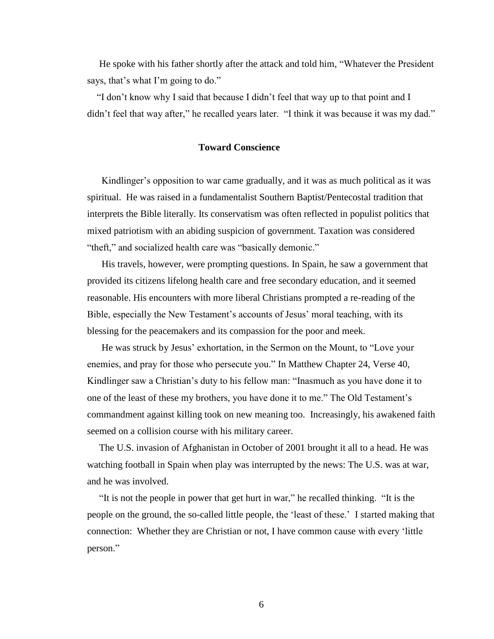He spoke with his father shortly after the attack and told him, "Whatever the President says, that's what I'm going to do."

"I don't know why I said that because I didn't feel that way up to that point and I didn't feel that way after," he recalled years later. "I think it was because it was my dad."

### **Toward Conscience**

 Kindlinger's opposition to war came gradually, and it was as much political as it was spiritual. He was raised in a fundamentalist Southern Baptist/Pentecostal tradition that interprets the Bible literally. Its conservatism was often reflected in populist politics that mixed patriotism with an abiding suspicion of government. Taxation was considered "theft," and socialized health care was "basically demonic."

 His travels, however, were prompting questions. In Spain, he saw a government that provided its citizens lifelong health care and free secondary education, and it seemed reasonable. His encounters with more liberal Christians prompted a re-reading of the Bible, especially the New Testament's accounts of Jesus' moral teaching, with its blessing for the peacemakers and its compassion for the poor and meek.

He was struck by Jesus' exhortation, in the Sermon on the Mount, to "Love your enemies, and pray for those who persecute you." In Matthew Chapter 24, Verse 40, Kindlinger saw a Christian's duty to his fellow man: "Inasmuch as you have done it to one of the least of these my brothers, you have done it to me." The Old Testament's commandment against killing took on new meaning too. Increasingly, his awakened faith seemed on a collision course with his military career.

 The U.S. invasion of Afghanistan in October of 2001 brought it all to a head. He was watching football in Spain when play was interrupted by the news: The U.S. was at war, and he was involved.

"It is not the people in power that get hurt in war," he recalled thinking. "It is the people on the ground, the so-called little people, the 'least of these.' I started making that connection: Whether they are Christian or not, I have common cause with every ‗little person."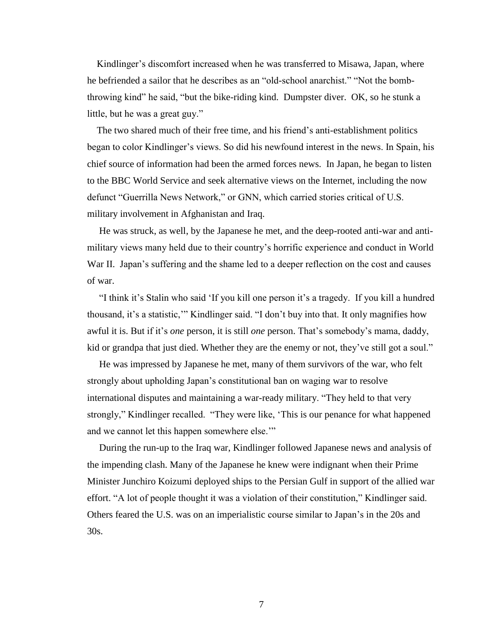Kindlinger's discomfort increased when he was transferred to Misawa, Japan, where he befriended a sailor that he describes as an "old-school anarchist." "Not the bombthrowing kind" he said, "but the bike-riding kind. Dumpster diver. OK, so he stunk a little, but he was a great guy."

 The two shared much of their free time, and his friend's anti-establishment politics began to color Kindlinger's views. So did his newfound interest in the news. In Spain, his chief source of information had been the armed forces news. In Japan, he began to listen to the BBC World Service and seek alternative views on the Internet, including the now defunct "Guerrilla News Network," or GNN, which carried stories critical of U.S. military involvement in Afghanistan and Iraq.

 He was struck, as well, by the Japanese he met, and the deep-rooted anti-war and antimilitary views many held due to their country's horrific experience and conduct in World War II. Japan's suffering and the shame led to a deeper reflection on the cost and causes of war.

"I think it's Stalin who said 'If you kill one person it's a tragedy. If you kill a hundred thousand, it's a statistic," Kindlinger said. "I don't buy into that. It only magnifies how awful it is. But if it's *one* person, it is still *one* person. That's somebody's mama, daddy, kid or grandpa that just died. Whether they are the enemy or not, they've still got a soul."

 He was impressed by Japanese he met, many of them survivors of the war, who felt strongly about upholding Japan's constitutional ban on waging war to resolve international disputes and maintaining a war-ready military. "They held to that very strongly," Kindlinger recalled. "They were like, 'This is our penance for what happened and we cannot let this happen somewhere else."

 During the run-up to the Iraq war, Kindlinger followed Japanese news and analysis of the impending clash. Many of the Japanese he knew were indignant when their Prime Minister Junchiro Koizumi deployed ships to the Persian Gulf in support of the allied war effort. "A lot of people thought it was a violation of their constitution," Kindlinger said. Others feared the U.S. was on an imperialistic course similar to Japan's in the 20s and 30s.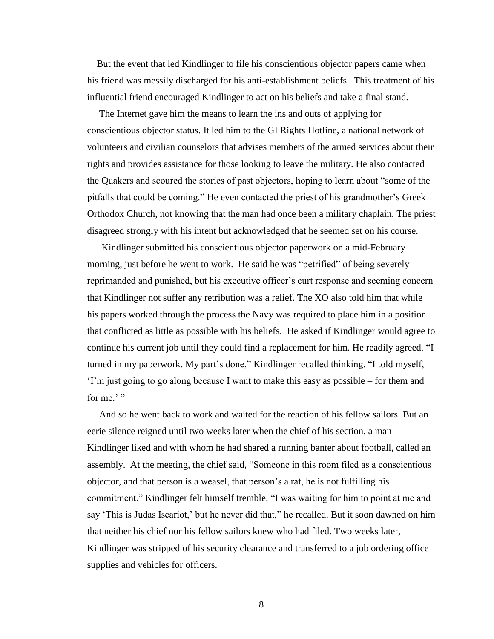But the event that led Kindlinger to file his conscientious objector papers came when his friend was messily discharged for his anti-establishment beliefs. This treatment of his influential friend encouraged Kindlinger to act on his beliefs and take a final stand.

 The Internet gave him the means to learn the ins and outs of applying for conscientious objector status. It led him to the GI Rights Hotline, a national network of volunteers and civilian counselors that advises members of the armed services about their rights and provides assistance for those looking to leave the military. He also contacted the Quakers and scoured the stories of past objectors, hoping to learn about "some of the pitfalls that could be coming." He even contacted the priest of his grandmother's Greek Orthodox Church, not knowing that the man had once been a military chaplain. The priest disagreed strongly with his intent but acknowledged that he seemed set on his course.

 Kindlinger submitted his conscientious objector paperwork on a mid-February morning, just before he went to work. He said he was "petrified" of being severely reprimanded and punished, but his executive officer's curt response and seeming concern that Kindlinger not suffer any retribution was a relief. The XO also told him that while his papers worked through the process the Navy was required to place him in a position that conflicted as little as possible with his beliefs. He asked if Kindlinger would agree to continue his current job until they could find a replacement for him. He readily agreed. "I turned in my paperwork. My part's done," Kindlinger recalled thinking. "I told myself, ‗I'm just going to go along because I want to make this easy as possible – for them and for me.' "

 And so he went back to work and waited for the reaction of his fellow sailors. But an eerie silence reigned until two weeks later when the chief of his section, a man Kindlinger liked and with whom he had shared a running banter about football, called an assembly. At the meeting, the chief said, "Someone in this room filed as a conscientious objector, and that person is a weasel, that person's a rat, he is not fulfilling his commitment." Kindlinger felt himself tremble. "I was waiting for him to point at me and say 'This is Judas Iscariot,' but he never did that," he recalled. But it soon dawned on him that neither his chief nor his fellow sailors knew who had filed. Two weeks later, Kindlinger was stripped of his security clearance and transferred to a job ordering office supplies and vehicles for officers.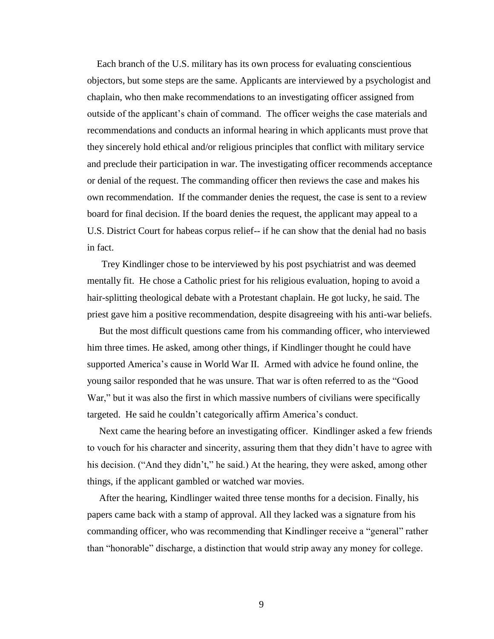Each branch of the U.S. military has its own process for evaluating conscientious objectors, but some steps are the same. Applicants are interviewed by a psychologist and chaplain, who then make recommendations to an investigating officer assigned from outside of the applicant's chain of command. The officer weighs the case materials and recommendations and conducts an informal hearing in which applicants must prove that they sincerely hold ethical and/or religious principles that conflict with military service and preclude their participation in war. The investigating officer recommends acceptance or denial of the request. The commanding officer then reviews the case and makes his own recommendation. If the commander denies the request, the case is sent to a review board for final decision. If the board denies the request, the applicant may appeal to a U.S. District Court for habeas corpus relief-- if he can show that the denial had no basis in fact.

 Trey Kindlinger chose to be interviewed by his post psychiatrist and was deemed mentally fit. He chose a Catholic priest for his religious evaluation, hoping to avoid a hair-splitting theological debate with a Protestant chaplain. He got lucky, he said. The priest gave him a positive recommendation, despite disagreeing with his anti-war beliefs.

 But the most difficult questions came from his commanding officer, who interviewed him three times. He asked, among other things, if Kindlinger thought he could have supported America's cause in World War II. Armed with advice he found online, the young sailor responded that he was unsure. That war is often referred to as the "Good War," but it was also the first in which massive numbers of civilians were specifically targeted. He said he couldn't categorically affirm America's conduct.

 Next came the hearing before an investigating officer. Kindlinger asked a few friends to vouch for his character and sincerity, assuring them that they didn't have to agree with his decision. ("And they didn't," he said.) At the hearing, they were asked, among other things, if the applicant gambled or watched war movies.

 After the hearing, Kindlinger waited three tense months for a decision. Finally, his papers came back with a stamp of approval. All they lacked was a signature from his commanding officer, who was recommending that Kindlinger receive a "general" rather than "honorable" discharge, a distinction that would strip away any money for college.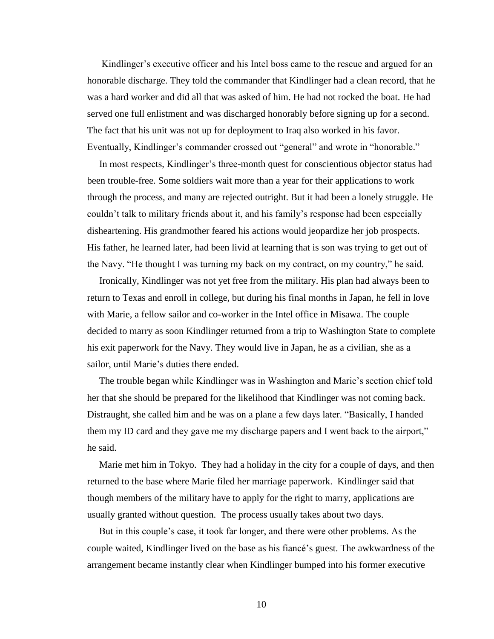Kindlinger's executive officer and his Intel boss came to the rescue and argued for an honorable discharge. They told the commander that Kindlinger had a clean record, that he was a hard worker and did all that was asked of him. He had not rocked the boat. He had served one full enlistment and was discharged honorably before signing up for a second. The fact that his unit was not up for deployment to Iraq also worked in his favor. Eventually, Kindlinger's commander crossed out "general" and wrote in "honorable."

 In most respects, Kindlinger's three-month quest for conscientious objector status had been trouble-free. Some soldiers wait more than a year for their applications to work through the process, and many are rejected outright. But it had been a lonely struggle. He couldn't talk to military friends about it, and his family's response had been especially disheartening. His grandmother feared his actions would jeopardize her job prospects. His father, he learned later, had been livid at learning that is son was trying to get out of the Navy. "He thought I was turning my back on my contract, on my country," he said.

 Ironically, Kindlinger was not yet free from the military. His plan had always been to return to Texas and enroll in college, but during his final months in Japan, he fell in love with Marie, a fellow sailor and co-worker in the Intel office in Misawa. The couple decided to marry as soon Kindlinger returned from a trip to Washington State to complete his exit paperwork for the Navy. They would live in Japan, he as a civilian, she as a sailor, until Marie's duties there ended.

 The trouble began while Kindlinger was in Washington and Marie's section chief told her that she should be prepared for the likelihood that Kindlinger was not coming back. Distraught, she called him and he was on a plane a few days later. "Basically, I handed them my ID card and they gave me my discharge papers and I went back to the airport," he said.

 Marie met him in Tokyo. They had a holiday in the city for a couple of days, and then returned to the base where Marie filed her marriage paperwork. Kindlinger said that though members of the military have to apply for the right to marry, applications are usually granted without question. The process usually takes about two days.

 But in this couple's case, it took far longer, and there were other problems. As the couple waited, Kindlinger lived on the base as his fiancé's guest. The awkwardness of the arrangement became instantly clear when Kindlinger bumped into his former executive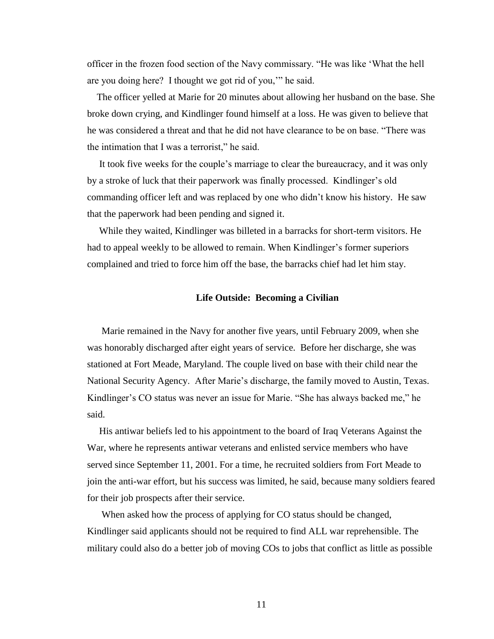officer in the frozen food section of the Navy commissary. "He was like 'What the hell are you doing here? I thought we got rid of you," he said.

 The officer yelled at Marie for 20 minutes about allowing her husband on the base. She broke down crying, and Kindlinger found himself at a loss. He was given to believe that he was considered a threat and that he did not have clearance to be on base. "There was the intimation that I was a terrorist," he said.

 It took five weeks for the couple's marriage to clear the bureaucracy, and it was only by a stroke of luck that their paperwork was finally processed. Kindlinger's old commanding officer left and was replaced by one who didn't know his history. He saw that the paperwork had been pending and signed it.

 While they waited, Kindlinger was billeted in a barracks for short-term visitors. He had to appeal weekly to be allowed to remain. When Kindlinger's former superiors complained and tried to force him off the base, the barracks chief had let him stay.

### **Life Outside: Becoming a Civilian**

 Marie remained in the Navy for another five years, until February 2009, when she was honorably discharged after eight years of service. Before her discharge, she was stationed at Fort Meade, Maryland. The couple lived on base with their child near the National Security Agency. After Marie's discharge, the family moved to Austin, Texas. Kindlinger's CO status was never an issue for Marie. "She has always backed me," he said.

 His antiwar beliefs led to his appointment to the board of Iraq Veterans Against the War, where he represents antiwar veterans and enlisted service members who have served since September 11, 2001. For a time, he recruited soldiers from Fort Meade to join the anti-war effort, but his success was limited, he said, because many soldiers feared for their job prospects after their service.

 When asked how the process of applying for CO status should be changed, Kindlinger said applicants should not be required to find ALL war reprehensible. The military could also do a better job of moving COs to jobs that conflict as little as possible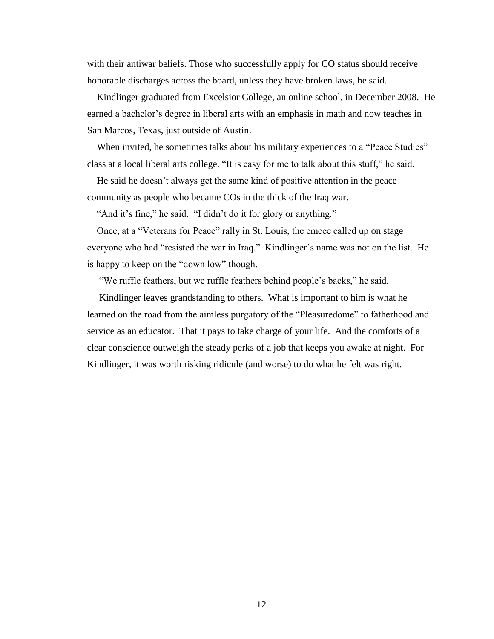with their antiwar beliefs. Those who successfully apply for CO status should receive honorable discharges across the board, unless they have broken laws, he said.

 Kindlinger graduated from Excelsior College, an online school, in December 2008. He earned a bachelor's degree in liberal arts with an emphasis in math and now teaches in San Marcos, Texas, just outside of Austin.

When invited, he sometimes talks about his military experiences to a "Peace Studies" class at a local liberal arts college. "It is easy for me to talk about this stuff," he said.

 He said he doesn't always get the same kind of positive attention in the peace community as people who became COs in the thick of the Iraq war.

"And it's fine," he said. "I didn't do it for glory or anything."

Once, at a "Veterans for Peace" rally in St. Louis, the emcee called up on stage everyone who had "resisted the war in Iraq." Kindlinger's name was not on the list. He is happy to keep on the "down low" though.

"We ruffle feathers, but we ruffle feathers behind people's backs," he said.

 Kindlinger leaves grandstanding to others. What is important to him is what he learned on the road from the aimless purgatory of the "Pleasuredome" to fatherhood and service as an educator. That it pays to take charge of your life. And the comforts of a clear conscience outweigh the steady perks of a job that keeps you awake at night. For Kindlinger, it was worth risking ridicule (and worse) to do what he felt was right.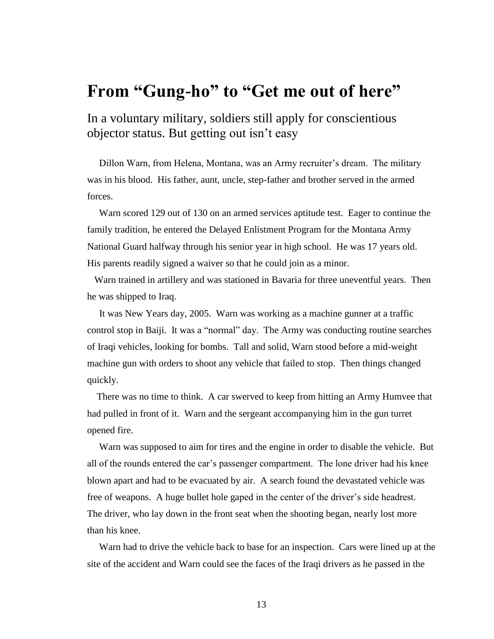# **From "Gung-ho" to "Get me out of here"**

In a voluntary military, soldiers still apply for conscientious objector status. But getting out isn't easy

 Dillon Warn, from Helena, Montana, was an Army recruiter's dream. The military was in his blood. His father, aunt, uncle, step-father and brother served in the armed forces.

 Warn scored 129 out of 130 on an armed services aptitude test. Eager to continue the family tradition, he entered the Delayed Enlistment Program for the Montana Army National Guard halfway through his senior year in high school. He was 17 years old. His parents readily signed a waiver so that he could join as a minor.

 Warn trained in artillery and was stationed in Bavaria for three uneventful years. Then he was shipped to Iraq.

 It was New Years day, 2005. Warn was working as a machine gunner at a traffic control stop in Baiji. It was a "normal" day. The Army was conducting routine searches of Iraqi vehicles, looking for bombs. Tall and solid, Warn stood before a mid-weight machine gun with orders to shoot any vehicle that failed to stop. Then things changed quickly.

 There was no time to think. A car swerved to keep from hitting an Army Humvee that had pulled in front of it. Warn and the sergeant accompanying him in the gun turret opened fire.

 Warn was supposed to aim for tires and the engine in order to disable the vehicle. But all of the rounds entered the car's passenger compartment. The lone driver had his knee blown apart and had to be evacuated by air. A search found the devastated vehicle was free of weapons. A huge bullet hole gaped in the center of the driver's side headrest. The driver, who lay down in the front seat when the shooting began, nearly lost more than his knee.

 Warn had to drive the vehicle back to base for an inspection. Cars were lined up at the site of the accident and Warn could see the faces of the Iraqi drivers as he passed in the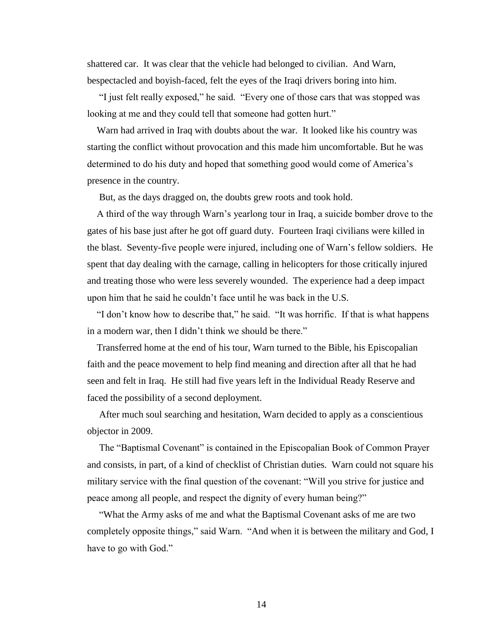shattered car. It was clear that the vehicle had belonged to civilian. And Warn, bespectacled and boyish-faced, felt the eyes of the Iraqi drivers boring into him.

"I just felt really exposed," he said. "Every one of those cars that was stopped was looking at me and they could tell that someone had gotten hurt."

 Warn had arrived in Iraq with doubts about the war. It looked like his country was starting the conflict without provocation and this made him uncomfortable. But he was determined to do his duty and hoped that something good would come of America's presence in the country.

But, as the days dragged on, the doubts grew roots and took hold.

 A third of the way through Warn's yearlong tour in Iraq, a suicide bomber drove to the gates of his base just after he got off guard duty. Fourteen Iraqi civilians were killed in the blast. Seventy-five people were injured, including one of Warn's fellow soldiers. He spent that day dealing with the carnage, calling in helicopters for those critically injured and treating those who were less severely wounded. The experience had a deep impact upon him that he said he couldn't face until he was back in the U.S.

"I don't know how to describe that," he said. "It was horrific. If that is what happens in a modern war, then I didn't think we should be there."

 Transferred home at the end of his tour, Warn turned to the Bible, his Episcopalian faith and the peace movement to help find meaning and direction after all that he had seen and felt in Iraq. He still had five years left in the Individual Ready Reserve and faced the possibility of a second deployment.

 After much soul searching and hesitation, Warn decided to apply as a conscientious objector in 2009.

The "Baptismal Covenant" is contained in the Episcopalian Book of Common Prayer and consists, in part, of a kind of checklist of Christian duties. Warn could not square his military service with the final question of the covenant: "Will you strive for justice and peace among all people, and respect the dignity of every human being?"

"What the Army asks of me and what the Baptismal Covenant asks of me are two completely opposite things," said Warn. "And when it is between the military and God, I have to go with God."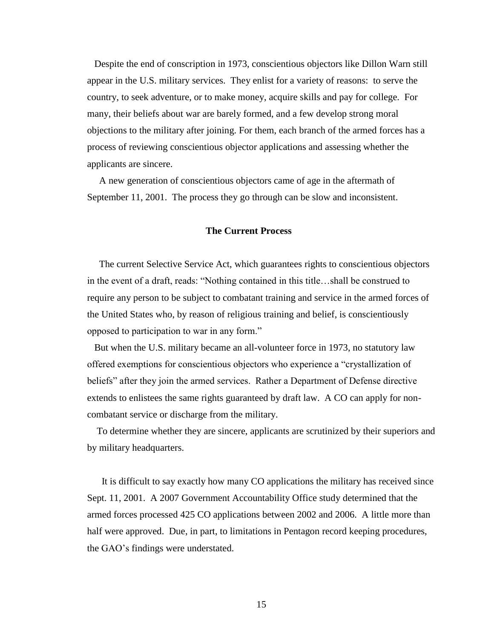Despite the end of conscription in 1973, conscientious objectors like Dillon Warn still appear in the U.S. military services. They enlist for a variety of reasons: to serve the country, to seek adventure, or to make money, acquire skills and pay for college. For many, their beliefs about war are barely formed, and a few develop strong moral objections to the military after joining. For them, each branch of the armed forces has a process of reviewing conscientious objector applications and assessing whether the applicants are sincere.

 A new generation of conscientious objectors came of age in the aftermath of September 11, 2001. The process they go through can be slow and inconsistent.

### **The Current Process**

 The current Selective Service Act, which guarantees rights to conscientious objectors in the event of a draft, reads: "Nothing contained in this title...shall be construed to require any person to be subject to combatant training and service in the armed forces of the United States who, by reason of religious training and belief, is conscientiously opposed to participation to war in any form."

 But when the U.S. military became an all-volunteer force in 1973, no statutory law offered exemptions for conscientious objectors who experience a "crystallization of beliefs" after they join the armed services. Rather a Department of Defense directive extends to enlistees the same rights guaranteed by draft law. A CO can apply for noncombatant service or discharge from the military.

 To determine whether they are sincere, applicants are scrutinized by their superiors and by military headquarters.

It is difficult to say exactly how many CO applications the military has received since Sept. 11, 2001. A 2007 Government Accountability Office study determined that the armed forces processed 425 CO applications between 2002 and 2006. A little more than half were approved. Due, in part, to limitations in Pentagon record keeping procedures, the GAO's findings were understated.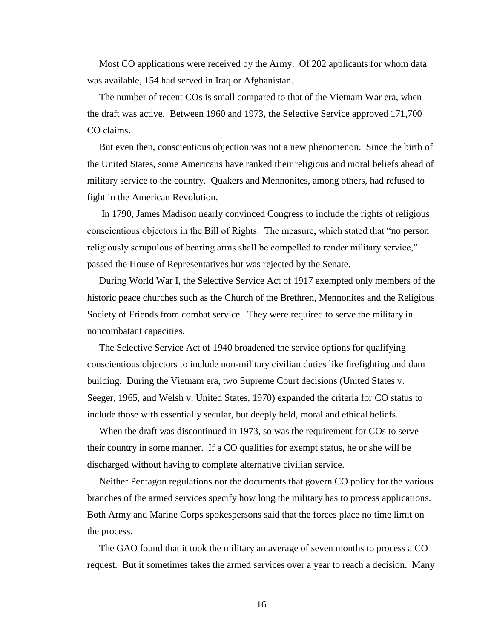Most CO applications were received by the Army. Of 202 applicants for whom data was available, 154 had served in Iraq or Afghanistan.

 The number of recent COs is small compared to that of the Vietnam War era, when the draft was active. Between 1960 and 1973, the Selective Service approved 171,700 CO claims.

 But even then, conscientious objection was not a new phenomenon. Since the birth of the United States, some Americans have ranked their religious and moral beliefs ahead of military service to the country. Quakers and Mennonites, among others, had refused to fight in the American Revolution.

 In 1790, James Madison nearly convinced Congress to include the rights of religious conscientious objectors in the Bill of Rights. The measure, which stated that "no person" religiously scrupulous of bearing arms shall be compelled to render military service," passed the House of Representatives but was rejected by the Senate.

 During World War I, the Selective Service Act of 1917 exempted only members of the historic peace churches such as the Church of the Brethren, Mennonites and the Religious Society of Friends from combat service. They were required to serve the military in noncombatant capacities.

 The Selective Service Act of 1940 broadened the service options for qualifying conscientious objectors to include non-military civilian duties like firefighting and dam building. During the Vietnam era, two Supreme Court decisions (United States v. Seeger, 1965, and Welsh v. United States, 1970) expanded the criteria for CO status to include those with essentially secular, but deeply held, moral and ethical beliefs.

 When the draft was discontinued in 1973, so was the requirement for COs to serve their country in some manner. If a CO qualifies for exempt status, he or she will be discharged without having to complete alternative civilian service.

 Neither Pentagon regulations nor the documents that govern CO policy for the various branches of the armed services specify how long the military has to process applications. Both Army and Marine Corps spokespersons said that the forces place no time limit on the process.

 The GAO found that it took the military an average of seven months to process a CO request. But it sometimes takes the armed services over a year to reach a decision. Many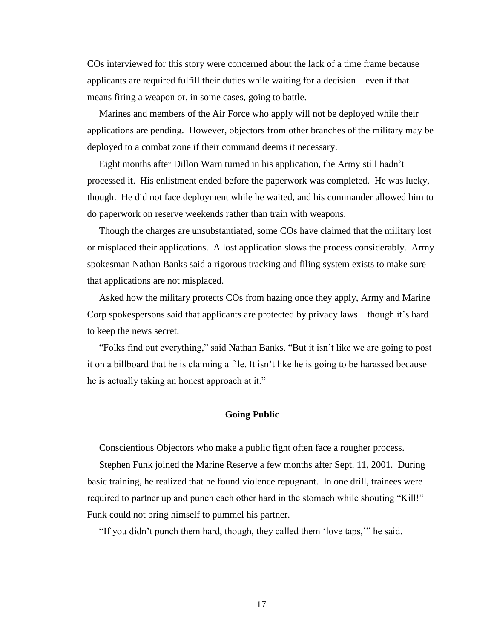COs interviewed for this story were concerned about the lack of a time frame because applicants are required fulfill their duties while waiting for a decision—even if that means firing a weapon or, in some cases, going to battle.

 Marines and members of the Air Force who apply will not be deployed while their applications are pending. However, objectors from other branches of the military may be deployed to a combat zone if their command deems it necessary.

 Eight months after Dillon Warn turned in his application, the Army still hadn't processed it. His enlistment ended before the paperwork was completed. He was lucky, though. He did not face deployment while he waited, and his commander allowed him to do paperwork on reserve weekends rather than train with weapons.

 Though the charges are unsubstantiated, some COs have claimed that the military lost or misplaced their applications. A lost application slows the process considerably. Army spokesman Nathan Banks said a rigorous tracking and filing system exists to make sure that applications are not misplaced.

 Asked how the military protects COs from hazing once they apply, Army and Marine Corp spokespersons said that applicants are protected by privacy laws—though it's hard to keep the news secret.

 ―Folks find out everything,‖ said Nathan Banks. ―But it isn't like we are going to post it on a billboard that he is claiming a file. It isn't like he is going to be harassed because he is actually taking an honest approach at it."

### **Going Public**

Conscientious Objectors who make a public fight often face a rougher process.

 Stephen Funk joined the Marine Reserve a few months after Sept. 11, 2001. During basic training, he realized that he found violence repugnant. In one drill, trainees were required to partner up and punch each other hard in the stomach while shouting "Kill!" Funk could not bring himself to pummel his partner.

"If you didn't punch them hard, though, they called them 'love taps," he said.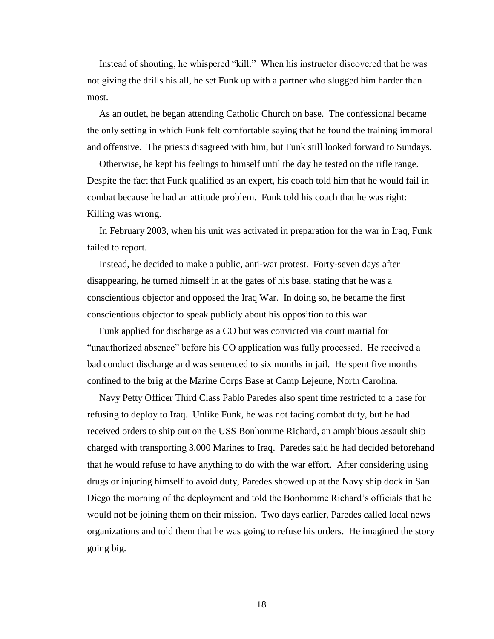Instead of shouting, he whispered "kill." When his instructor discovered that he was not giving the drills his all, he set Funk up with a partner who slugged him harder than most.

 As an outlet, he began attending Catholic Church on base. The confessional became the only setting in which Funk felt comfortable saying that he found the training immoral and offensive. The priests disagreed with him, but Funk still looked forward to Sundays.

 Otherwise, he kept his feelings to himself until the day he tested on the rifle range. Despite the fact that Funk qualified as an expert, his coach told him that he would fail in combat because he had an attitude problem. Funk told his coach that he was right: Killing was wrong.

 In February 2003, when his unit was activated in preparation for the war in Iraq, Funk failed to report.

 Instead, he decided to make a public, anti-war protest. Forty-seven days after disappearing, he turned himself in at the gates of his base, stating that he was a conscientious objector and opposed the Iraq War. In doing so, he became the first conscientious objector to speak publicly about his opposition to this war.

 Funk applied for discharge as a CO but was convicted via court martial for "unauthorized absence" before his CO application was fully processed. He received a bad conduct discharge and was sentenced to six months in jail. He spent five months confined to the brig at the Marine Corps Base at Camp Lejeune, North Carolina.

 Navy Petty Officer Third Class Pablo Paredes also spent time restricted to a base for refusing to deploy to Iraq. Unlike Funk, he was not facing combat duty, but he had received orders to ship out on the USS Bonhomme Richard, an amphibious assault ship charged with transporting 3,000 Marines to Iraq. Paredes said he had decided beforehand that he would refuse to have anything to do with the war effort. After considering using drugs or injuring himself to avoid duty, Paredes showed up at the Navy ship dock in San Diego the morning of the deployment and told the Bonhomme Richard's officials that he would not be joining them on their mission. Two days earlier, Paredes called local news organizations and told them that he was going to refuse his orders. He imagined the story going big.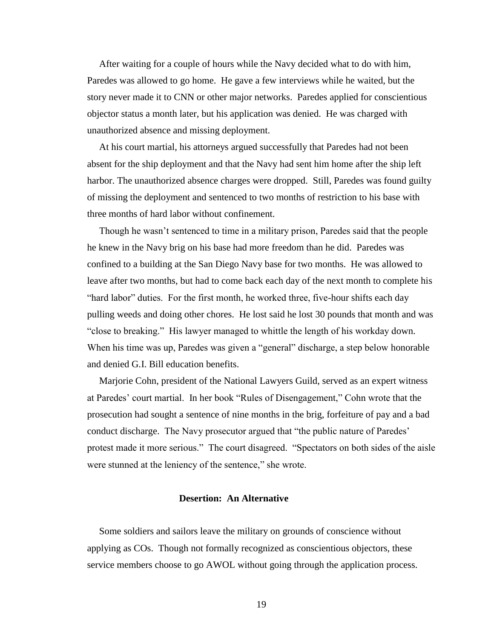After waiting for a couple of hours while the Navy decided what to do with him, Paredes was allowed to go home. He gave a few interviews while he waited, but the story never made it to CNN or other major networks. Paredes applied for conscientious objector status a month later, but his application was denied. He was charged with unauthorized absence and missing deployment.

 At his court martial, his attorneys argued successfully that Paredes had not been absent for the ship deployment and that the Navy had sent him home after the ship left harbor. The unauthorized absence charges were dropped. Still, Paredes was found guilty of missing the deployment and sentenced to two months of restriction to his base with three months of hard labor without confinement.

 Though he wasn't sentenced to time in a military prison, Paredes said that the people he knew in the Navy brig on his base had more freedom than he did. Paredes was confined to a building at the San Diego Navy base for two months. He was allowed to leave after two months, but had to come back each day of the next month to complete his "hard labor" duties. For the first month, he worked three, five-hour shifts each day pulling weeds and doing other chores. He lost said he lost 30 pounds that month and was "close to breaking." His lawyer managed to whittle the length of his workday down. When his time was up, Paredes was given a "general" discharge, a step below honorable and denied G.I. Bill education benefits.

 Marjorie Cohn, president of the National Lawyers Guild, served as an expert witness at Paredes' court martial. In her book "Rules of Disengagement," Cohn wrote that the prosecution had sought a sentence of nine months in the brig, forfeiture of pay and a bad conduct discharge. The Navy prosecutor argued that "the public nature of Paredes' protest made it more serious." The court disagreed. "Spectators on both sides of the aisle were stunned at the leniency of the sentence," she wrote.

## **Desertion: An Alternative**

 Some soldiers and sailors leave the military on grounds of conscience without applying as COs. Though not formally recognized as conscientious objectors, these service members choose to go AWOL without going through the application process.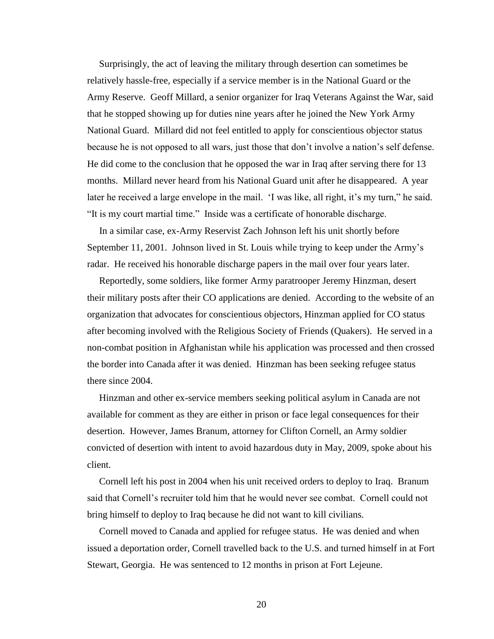Surprisingly, the act of leaving the military through desertion can sometimes be relatively hassle-free, especially if a service member is in the National Guard or the Army Reserve. Geoff Millard, a senior organizer for Iraq Veterans Against the War, said that he stopped showing up for duties nine years after he joined the New York Army National Guard. Millard did not feel entitled to apply for conscientious objector status because he is not opposed to all wars, just those that don't involve a nation's self defense. He did come to the conclusion that he opposed the war in Iraq after serving there for 13 months. Millard never heard from his National Guard unit after he disappeared. A year later he received a large envelope in the mail. 'I was like, all right, it's my turn," he said. ―It is my court martial time.‖ Inside was a certificate of honorable discharge.

In a similar case, ex-Army Reservist Zach Johnson left his unit shortly before September 11, 2001. Johnson lived in St. Louis while trying to keep under the Army's radar. He received his honorable discharge papers in the mail over four years later.

 Reportedly, some soldiers, like former Army paratrooper Jeremy Hinzman, desert their military posts after their CO applications are denied. According to the website of an organization that advocates for conscientious objectors, Hinzman applied for CO status after becoming involved with the Religious Society of Friends (Quakers). He served in a non-combat position in Afghanistan while his application was processed and then crossed the border into Canada after it was denied. Hinzman has been seeking refugee status there since 2004.

 Hinzman and other ex-service members seeking political asylum in Canada are not available for comment as they are either in prison or face legal consequences for their desertion. However, James Branum, attorney for Clifton Cornell, an Army soldier convicted of desertion with intent to avoid hazardous duty in May, 2009, spoke about his client.

 Cornell left his post in 2004 when his unit received orders to deploy to Iraq. Branum said that Cornell's recruiter told him that he would never see combat. Cornell could not bring himself to deploy to Iraq because he did not want to kill civilians.

 Cornell moved to Canada and applied for refugee status. He was denied and when issued a deportation order, Cornell travelled back to the U.S. and turned himself in at Fort Stewart, Georgia. He was sentenced to 12 months in prison at Fort Lejeune.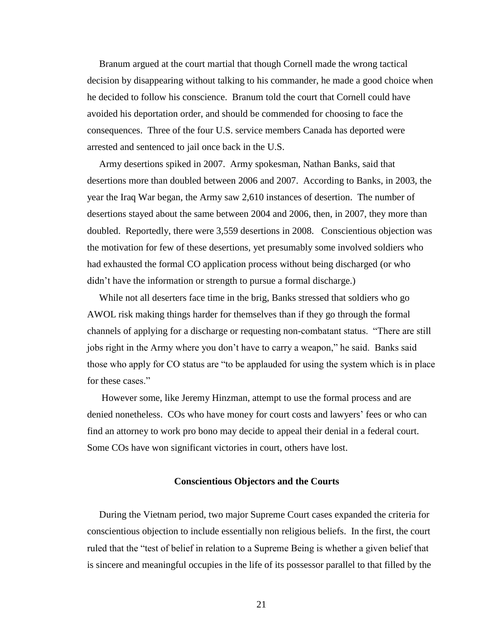Branum argued at the court martial that though Cornell made the wrong tactical decision by disappearing without talking to his commander, he made a good choice when he decided to follow his conscience. Branum told the court that Cornell could have avoided his deportation order, and should be commended for choosing to face the consequences. Three of the four U.S. service members Canada has deported were arrested and sentenced to jail once back in the U.S.

 Army desertions spiked in 2007. Army spokesman, Nathan Banks, said that desertions more than doubled between 2006 and 2007. According to Banks, in 2003, the year the Iraq War began, the Army saw 2,610 instances of desertion. The number of desertions stayed about the same between 2004 and 2006, then, in 2007, they more than doubled. Reportedly, there were 3,559 desertions in 2008. Conscientious objection was the motivation for few of these desertions, yet presumably some involved soldiers who had exhausted the formal CO application process without being discharged (or who didn't have the information or strength to pursue a formal discharge.)

 While not all deserters face time in the brig, Banks stressed that soldiers who go AWOL risk making things harder for themselves than if they go through the formal channels of applying for a discharge or requesting non-combatant status. "There are still jobs right in the Army where you don't have to carry a weapon," he said. Banks said those who apply for CO status are "to be applauded for using the system which is in place for these cases."

 However some, like Jeremy Hinzman, attempt to use the formal process and are denied nonetheless. COs who have money for court costs and lawyers' fees or who can find an attorney to work pro bono may decide to appeal their denial in a federal court. Some COs have won significant victories in court, others have lost.

### **Conscientious Objectors and the Courts**

 During the Vietnam period, two major Supreme Court cases expanded the criteria for conscientious objection to include essentially non religious beliefs. In the first, the court ruled that the "test of belief in relation to a Supreme Being is whether a given belief that is sincere and meaningful occupies in the life of its possessor parallel to that filled by the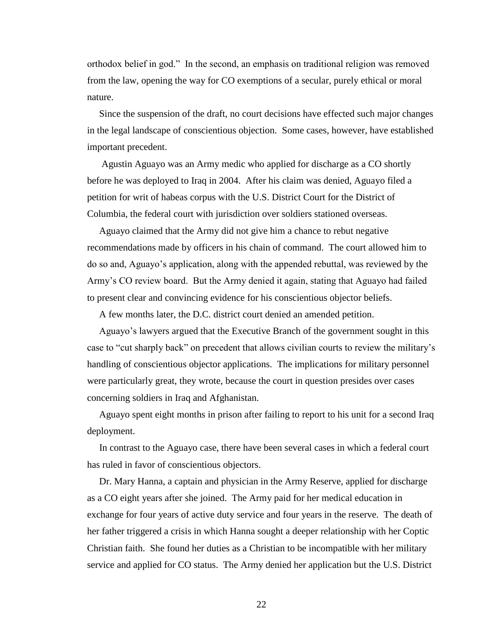orthodox belief in god." In the second, an emphasis on traditional religion was removed from the law, opening the way for CO exemptions of a secular, purely ethical or moral nature.

 Since the suspension of the draft, no court decisions have effected such major changes in the legal landscape of conscientious objection. Some cases, however, have established important precedent.

 Agustin Aguayo was an Army medic who applied for discharge as a CO shortly before he was deployed to Iraq in 2004. After his claim was denied, Aguayo filed a petition for writ of habeas corpus with the U.S. District Court for the District of Columbia, the federal court with jurisdiction over soldiers stationed overseas.

 Aguayo claimed that the Army did not give him a chance to rebut negative recommendations made by officers in his chain of command. The court allowed him to do so and, Aguayo's application, along with the appended rebuttal, was reviewed by the Army's CO review board. But the Army denied it again, stating that Aguayo had failed to present clear and convincing evidence for his conscientious objector beliefs.

A few months later, the D.C. district court denied an amended petition.

 Aguayo's lawyers argued that the Executive Branch of the government sought in this case to "cut sharply back" on precedent that allows civilian courts to review the military's handling of conscientious objector applications. The implications for military personnel were particularly great, they wrote, because the court in question presides over cases concerning soldiers in Iraq and Afghanistan.

 Aguayo spent eight months in prison after failing to report to his unit for a second Iraq deployment.

 In contrast to the Aguayo case, there have been several cases in which a federal court has ruled in favor of conscientious objectors.

 Dr. Mary Hanna, a captain and physician in the Army Reserve, applied for discharge as a CO eight years after she joined. The Army paid for her medical education in exchange for four years of active duty service and four years in the reserve. The death of her father triggered a crisis in which Hanna sought a deeper relationship with her Coptic Christian faith. She found her duties as a Christian to be incompatible with her military service and applied for CO status. The Army denied her application but the U.S. District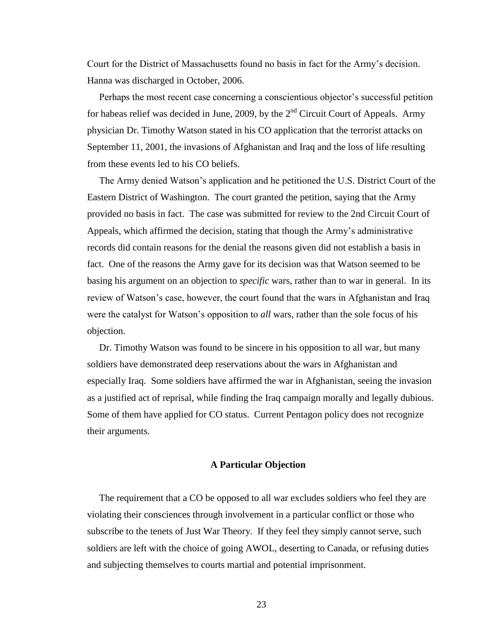Court for the District of Massachusetts found no basis in fact for the Army's decision. Hanna was discharged in October, 2006.

 Perhaps the most recent case concerning a conscientious objector's successful petition for habeas relief was decided in June, 2009, by the  $2<sup>nd</sup>$  Circuit Court of Appeals. Army physician Dr. Timothy Watson stated in his CO application that the terrorist attacks on September 11, 2001, the invasions of Afghanistan and Iraq and the loss of life resulting from these events led to his CO beliefs.

 The Army denied Watson's application and he petitioned the U.S. District Court of the Eastern District of Washington. The court granted the petition, saying that the Army provided no basis in fact. The case was submitted for review to the 2nd Circuit Court of Appeals, which affirmed the decision, stating that though the Army's administrative records did contain reasons for the denial the reasons given did not establish a basis in fact. One of the reasons the Army gave for its decision was that Watson seemed to be basing his argument on an objection to *specific* wars, rather than to war in general. In its review of Watson's case, however, the court found that the wars in Afghanistan and Iraq were the catalyst for Watson's opposition to *all* wars, rather than the sole focus of his objection.

 Dr. Timothy Watson was found to be sincere in his opposition to all war, but many soldiers have demonstrated deep reservations about the wars in Afghanistan and especially Iraq. Some soldiers have affirmed the war in Afghanistan, seeing the invasion as a justified act of reprisal, while finding the Iraq campaign morally and legally dubious. Some of them have applied for CO status. Current Pentagon policy does not recognize their arguments.

### **A Particular Objection**

 The requirement that a CO be opposed to all war excludes soldiers who feel they are violating their consciences through involvement in a particular conflict or those who subscribe to the tenets of Just War Theory. If they feel they simply cannot serve, such soldiers are left with the choice of going AWOL, deserting to Canada, or refusing duties and subjecting themselves to courts martial and potential imprisonment.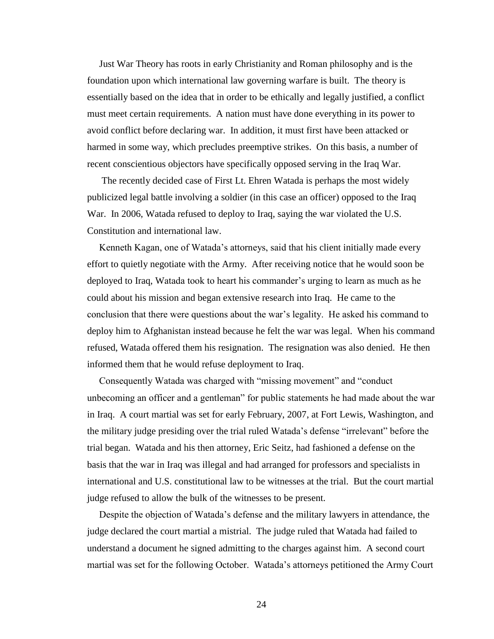Just War Theory has roots in early Christianity and Roman philosophy and is the foundation upon which international law governing warfare is built. The theory is essentially based on the idea that in order to be ethically and legally justified, a conflict must meet certain requirements. A nation must have done everything in its power to avoid conflict before declaring war. In addition, it must first have been attacked or harmed in some way, which precludes preemptive strikes. On this basis, a number of recent conscientious objectors have specifically opposed serving in the Iraq War.

 The recently decided case of First Lt. Ehren Watada is perhaps the most widely publicized legal battle involving a soldier (in this case an officer) opposed to the Iraq War. In 2006, Watada refused to deploy to Iraq, saying the war violated the U.S. Constitution and international law.

 Kenneth Kagan, one of Watada's attorneys, said that his client initially made every effort to quietly negotiate with the Army. After receiving notice that he would soon be deployed to Iraq, Watada took to heart his commander's urging to learn as much as he could about his mission and began extensive research into Iraq. He came to the conclusion that there were questions about the war's legality. He asked his command to deploy him to Afghanistan instead because he felt the war was legal. When his command refused, Watada offered them his resignation. The resignation was also denied. He then informed them that he would refuse deployment to Iraq.

Consequently Watada was charged with "missing movement" and "conduct unbecoming an officer and a gentleman" for public statements he had made about the war in Iraq. A court martial was set for early February, 2007, at Fort Lewis, Washington, and the military judge presiding over the trial ruled Watada's defense "irrelevant" before the trial began. Watada and his then attorney, Eric Seitz, had fashioned a defense on the basis that the war in Iraq was illegal and had arranged for professors and specialists in international and U.S. constitutional law to be witnesses at the trial. But the court martial judge refused to allow the bulk of the witnesses to be present.

 Despite the objection of Watada's defense and the military lawyers in attendance, the judge declared the court martial a mistrial. The judge ruled that Watada had failed to understand a document he signed admitting to the charges against him. A second court martial was set for the following October. Watada's attorneys petitioned the Army Court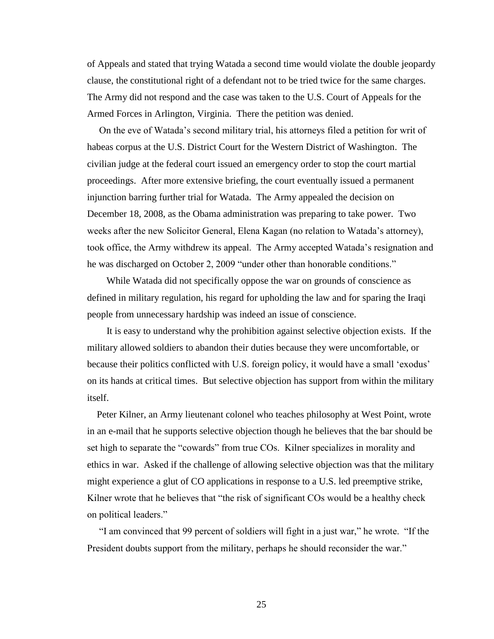of Appeals and stated that trying Watada a second time would violate the double jeopardy clause, the constitutional right of a defendant not to be tried twice for the same charges. The Army did not respond and the case was taken to the U.S. Court of Appeals for the Armed Forces in Arlington, Virginia. There the petition was denied.

 On the eve of Watada's second military trial, his attorneys filed a petition for writ of habeas corpus at the U.S. District Court for the Western District of Washington. The civilian judge at the federal court issued an emergency order to stop the court martial proceedings. After more extensive briefing, the court eventually issued a permanent injunction barring further trial for Watada. The Army appealed the decision on December 18, 2008, as the Obama administration was preparing to take power. Two weeks after the new Solicitor General, Elena Kagan (no relation to Watada's attorney), took office, the Army withdrew its appeal. The Army accepted Watada's resignation and he was discharged on October 2, 2009 "under other than honorable conditions."

 While Watada did not specifically oppose the war on grounds of conscience as defined in military regulation, his regard for upholding the law and for sparing the Iraqi people from unnecessary hardship was indeed an issue of conscience.

 It is easy to understand why the prohibition against selective objection exists. If the military allowed soldiers to abandon their duties because they were uncomfortable, or because their politics conflicted with U.S. foreign policy, it would have a small 'exodus' on its hands at critical times. But selective objection has support from within the military itself.

 Peter Kilner, an Army lieutenant colonel who teaches philosophy at West Point, wrote in an e-mail that he supports selective objection though he believes that the bar should be set high to separate the "cowards" from true COs. Kilner specializes in morality and ethics in war. Asked if the challenge of allowing selective objection was that the military might experience a glut of CO applications in response to a U.S. led preemptive strike, Kilner wrote that he believes that "the risk of significant COs would be a healthy check on political leaders."

"I am convinced that 99 percent of soldiers will fight in a just war," he wrote. "If the President doubts support from the military, perhaps he should reconsider the war."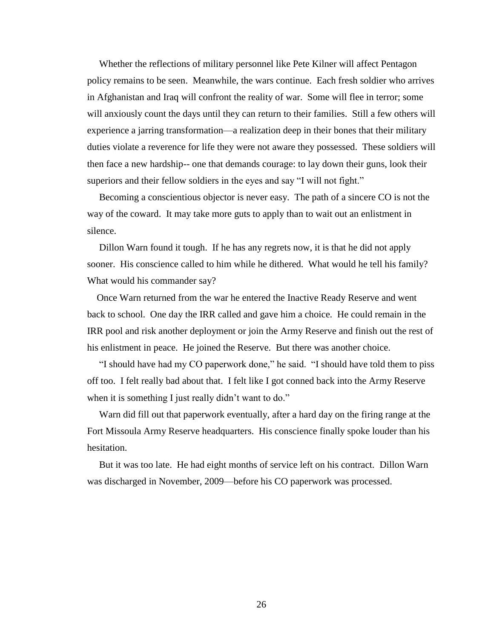Whether the reflections of military personnel like Pete Kilner will affect Pentagon policy remains to be seen. Meanwhile, the wars continue. Each fresh soldier who arrives in Afghanistan and Iraq will confront the reality of war. Some will flee in terror; some will anxiously count the days until they can return to their families. Still a few others will experience a jarring transformation—a realization deep in their bones that their military duties violate a reverence for life they were not aware they possessed. These soldiers will then face a new hardship-- one that demands courage: to lay down their guns, look their superiors and their fellow soldiers in the eyes and say "I will not fight."

 Becoming a conscientious objector is never easy. The path of a sincere CO is not the way of the coward. It may take more guts to apply than to wait out an enlistment in silence.

 Dillon Warn found it tough. If he has any regrets now, it is that he did not apply sooner. His conscience called to him while he dithered. What would he tell his family? What would his commander say?

 Once Warn returned from the war he entered the Inactive Ready Reserve and went back to school. One day the IRR called and gave him a choice. He could remain in the IRR pool and risk another deployment or join the Army Reserve and finish out the rest of his enlistment in peace. He joined the Reserve. But there was another choice.

"I should have had my CO paperwork done," he said. "I should have told them to piss off too. I felt really bad about that. I felt like I got conned back into the Army Reserve when it is something I just really didn't want to do."

 Warn did fill out that paperwork eventually, after a hard day on the firing range at the Fort Missoula Army Reserve headquarters. His conscience finally spoke louder than his hesitation.

 But it was too late. He had eight months of service left on his contract. Dillon Warn was discharged in November, 2009—before his CO paperwork was processed.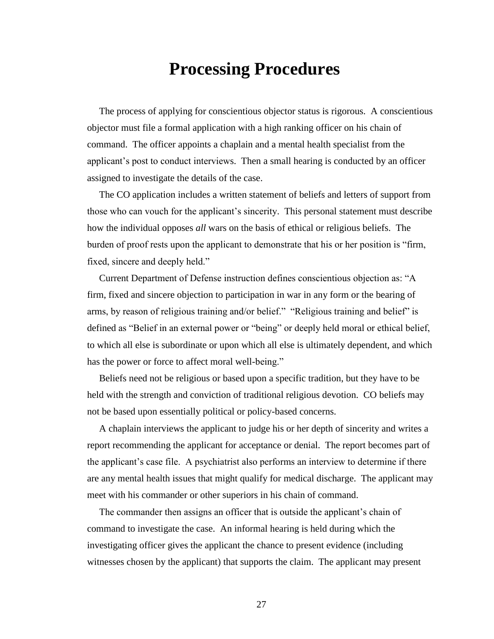# **Processing Procedures**

 The process of applying for conscientious objector status is rigorous. A conscientious objector must file a formal application with a high ranking officer on his chain of command. The officer appoints a chaplain and a mental health specialist from the applicant's post to conduct interviews. Then a small hearing is conducted by an officer assigned to investigate the details of the case.

 The CO application includes a written statement of beliefs and letters of support from those who can vouch for the applicant's sincerity. This personal statement must describe how the individual opposes *all* wars on the basis of ethical or religious beliefs. The burden of proof rests upon the applicant to demonstrate that his or her position is "firm, fixed, sincere and deeply held."

Current Department of Defense instruction defines conscientious objection as: "A firm, fixed and sincere objection to participation in war in any form or the bearing of arms, by reason of religious training and/or belief." "Religious training and belief" is defined as "Belief in an external power or "being" or deeply held moral or ethical belief, to which all else is subordinate or upon which all else is ultimately dependent, and which has the power or force to affect moral well-being."

 Beliefs need not be religious or based upon a specific tradition, but they have to be held with the strength and conviction of traditional religious devotion. CO beliefs may not be based upon essentially political or policy-based concerns.

 A chaplain interviews the applicant to judge his or her depth of sincerity and writes a report recommending the applicant for acceptance or denial. The report becomes part of the applicant's case file. A psychiatrist also performs an interview to determine if there are any mental health issues that might qualify for medical discharge. The applicant may meet with his commander or other superiors in his chain of command.

 The commander then assigns an officer that is outside the applicant's chain of command to investigate the case. An informal hearing is held during which the investigating officer gives the applicant the chance to present evidence (including witnesses chosen by the applicant) that supports the claim. The applicant may present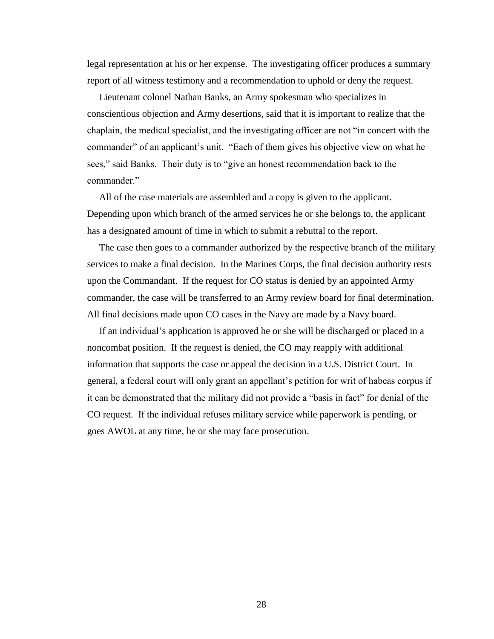legal representation at his or her expense. The investigating officer produces a summary report of all witness testimony and a recommendation to uphold or deny the request.

 Lieutenant colonel Nathan Banks, an Army spokesman who specializes in conscientious objection and Army desertions, said that it is important to realize that the chaplain, the medical specialist, and the investigating officer are not "in concert with the commander" of an applicant's unit. "Each of them gives his objective view on what he sees," said Banks. Their duty is to "give an honest recommendation back to the commander."

 All of the case materials are assembled and a copy is given to the applicant. Depending upon which branch of the armed services he or she belongs to, the applicant has a designated amount of time in which to submit a rebuttal to the report.

 The case then goes to a commander authorized by the respective branch of the military services to make a final decision. In the Marines Corps, the final decision authority rests upon the Commandant. If the request for CO status is denied by an appointed Army commander, the case will be transferred to an Army review board for final determination. All final decisions made upon CO cases in the Navy are made by a Navy board.

 If an individual's application is approved he or she will be discharged or placed in a noncombat position. If the request is denied, the CO may reapply with additional information that supports the case or appeal the decision in a U.S. District Court. In general, a federal court will only grant an appellant's petition for writ of habeas corpus if it can be demonstrated that the military did not provide a "basis in fact" for denial of the CO request. If the individual refuses military service while paperwork is pending, or goes AWOL at any time, he or she may face prosecution.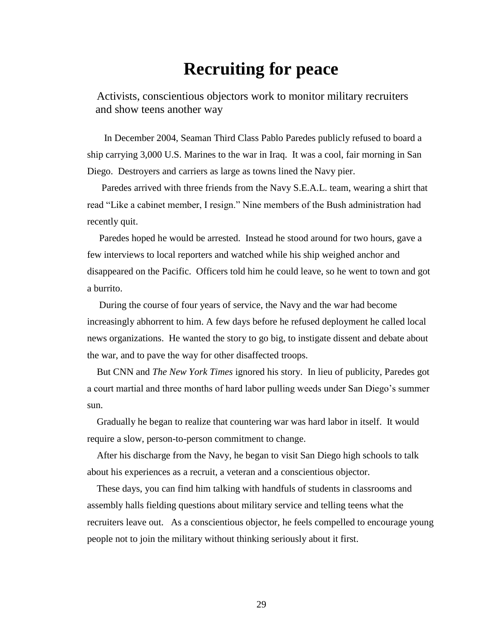# **Recruiting for peace**

Activists, conscientious objectors work to monitor military recruiters and show teens another way

 In December 2004, Seaman Third Class Pablo Paredes publicly refused to board a ship carrying 3,000 U.S. Marines to the war in Iraq. It was a cool, fair morning in San Diego. Destroyers and carriers as large as towns lined the Navy pier.

 Paredes arrived with three friends from the Navy S.E.A.L. team, wearing a shirt that read "Like a cabinet member, I resign." Nine members of the Bush administration had recently quit.

 Paredes hoped he would be arrested. Instead he stood around for two hours, gave a few interviews to local reporters and watched while his ship weighed anchor and disappeared on the Pacific. Officers told him he could leave, so he went to town and got a burrito.

 During the course of four years of service, the Navy and the war had become increasingly abhorrent to him. A few days before he refused deployment he called local news organizations. He wanted the story to go big, to instigate dissent and debate about the war, and to pave the way for other disaffected troops.

 But CNN and *The New York Times* ignored his story. In lieu of publicity, Paredes got a court martial and three months of hard labor pulling weeds under San Diego's summer sun.

 Gradually he began to realize that countering war was hard labor in itself. It would require a slow, person-to-person commitment to change.

 After his discharge from the Navy, he began to visit San Diego high schools to talk about his experiences as a recruit, a veteran and a conscientious objector.

 These days, you can find him talking with handfuls of students in classrooms and assembly halls fielding questions about military service and telling teens what the recruiters leave out. As a conscientious objector, he feels compelled to encourage young people not to join the military without thinking seriously about it first.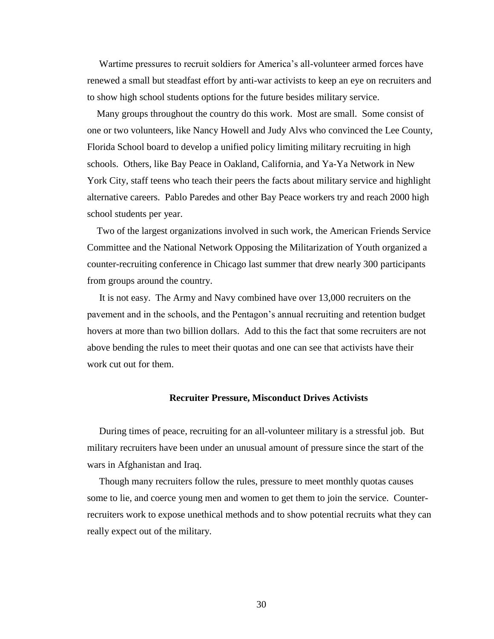Wartime pressures to recruit soldiers for America's all-volunteer armed forces have renewed a small but steadfast effort by anti-war activists to keep an eye on recruiters and to show high school students options for the future besides military service.

 Many groups throughout the country do this work. Most are small. Some consist of one or two volunteers, like Nancy Howell and Judy Alvs who convinced the Lee County, Florida School board to develop a unified policy limiting military recruiting in high schools. Others, like Bay Peace in Oakland, California, and Ya-Ya Network in New York City, staff teens who teach their peers the facts about military service and highlight alternative careers. Pablo Paredes and other Bay Peace workers try and reach 2000 high school students per year.

 Two of the largest organizations involved in such work, the American Friends Service Committee and the National Network Opposing the Militarization of Youth organized a counter-recruiting conference in Chicago last summer that drew nearly 300 participants from groups around the country.

 It is not easy. The Army and Navy combined have over 13,000 recruiters on the pavement and in the schools, and the Pentagon's annual recruiting and retention budget hovers at more than two billion dollars. Add to this the fact that some recruiters are not above bending the rules to meet their quotas and one can see that activists have their work cut out for them.

#### **Recruiter Pressure, Misconduct Drives Activists**

 During times of peace, recruiting for an all-volunteer military is a stressful job. But military recruiters have been under an unusual amount of pressure since the start of the wars in Afghanistan and Iraq.

 Though many recruiters follow the rules, pressure to meet monthly quotas causes some to lie, and coerce young men and women to get them to join the service. Counterrecruiters work to expose unethical methods and to show potential recruits what they can really expect out of the military.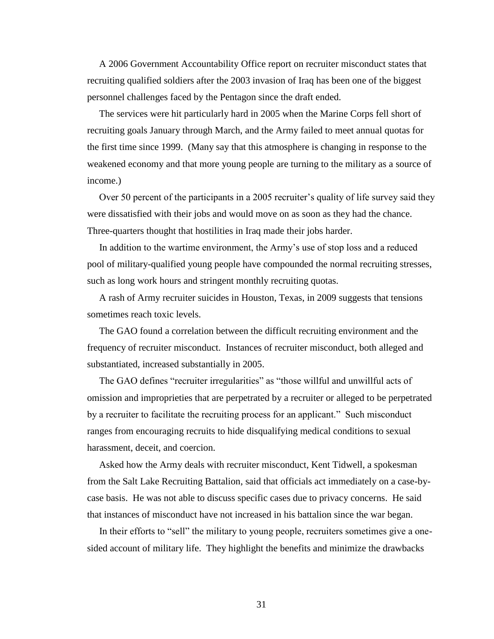A 2006 Government Accountability Office report on recruiter misconduct states that recruiting qualified soldiers after the 2003 invasion of Iraq has been one of the biggest personnel challenges faced by the Pentagon since the draft ended.

 The services were hit particularly hard in 2005 when the Marine Corps fell short of recruiting goals January through March, and the Army failed to meet annual quotas for the first time since 1999. (Many say that this atmosphere is changing in response to the weakened economy and that more young people are turning to the military as a source of income.)

Over 50 percent of the participants in a 2005 recruiter's quality of life survey said they were dissatisfied with their jobs and would move on as soon as they had the chance. Three-quarters thought that hostilities in Iraq made their jobs harder.

 In addition to the wartime environment, the Army's use of stop loss and a reduced pool of military-qualified young people have compounded the normal recruiting stresses, such as long work hours and stringent monthly recruiting quotas.

 A rash of Army recruiter suicides in Houston, Texas, in 2009 suggests that tensions sometimes reach toxic levels.

 The GAO found a correlation between the difficult recruiting environment and the frequency of recruiter misconduct. Instances of recruiter misconduct, both alleged and substantiated, increased substantially in 2005.

The GAO defines "recruiter irregularities" as "those willful and unwillful acts of omission and improprieties that are perpetrated by a recruiter or alleged to be perpetrated by a recruiter to facilitate the recruiting process for an applicant." Such misconduct ranges from encouraging recruits to hide disqualifying medical conditions to sexual harassment, deceit, and coercion.

 Asked how the Army deals with recruiter misconduct, Kent Tidwell, a spokesman from the Salt Lake Recruiting Battalion, said that officials act immediately on a case-bycase basis. He was not able to discuss specific cases due to privacy concerns. He said that instances of misconduct have not increased in his battalion since the war began.

In their efforts to "sell" the military to young people, recruiters sometimes give a onesided account of military life. They highlight the benefits and minimize the drawbacks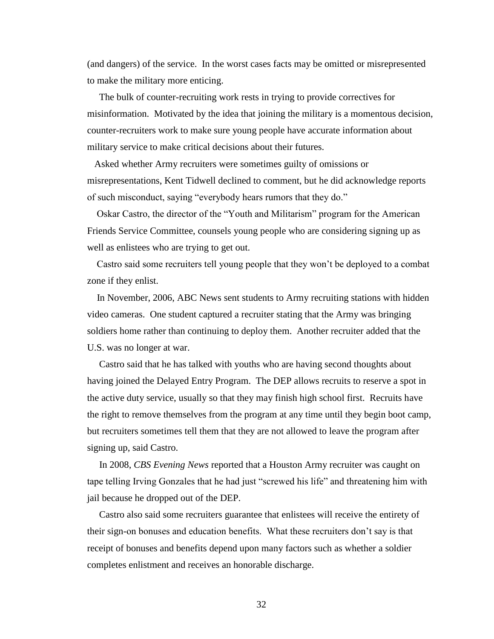(and dangers) of the service. In the worst cases facts may be omitted or misrepresented to make the military more enticing.

 The bulk of counter-recruiting work rests in trying to provide correctives for misinformation. Motivated by the idea that joining the military is a momentous decision, counter-recruiters work to make sure young people have accurate information about military service to make critical decisions about their futures.

 Asked whether Army recruiters were sometimes guilty of omissions or misrepresentations, Kent Tidwell declined to comment, but he did acknowledge reports of such misconduct, saying "everybody hears rumors that they do."

Oskar Castro, the director of the "Youth and Militarism" program for the American Friends Service Committee, counsels young people who are considering signing up as well as enlistees who are trying to get out.

 Castro said some recruiters tell young people that they won't be deployed to a combat zone if they enlist.

 In November, 2006, ABC News sent students to Army recruiting stations with hidden video cameras. One student captured a recruiter stating that the Army was bringing soldiers home rather than continuing to deploy them. Another recruiter added that the U.S. was no longer at war.

 Castro said that he has talked with youths who are having second thoughts about having joined the Delayed Entry Program. The DEP allows recruits to reserve a spot in the active duty service, usually so that they may finish high school first. Recruits have the right to remove themselves from the program at any time until they begin boot camp, but recruiters sometimes tell them that they are not allowed to leave the program after signing up, said Castro.

 In 2008, *CBS Evening News* reported that a Houston Army recruiter was caught on tape telling Irving Gonzales that he had just "screwed his life" and threatening him with jail because he dropped out of the DEP.

 Castro also said some recruiters guarantee that enlistees will receive the entirety of their sign-on bonuses and education benefits. What these recruiters don't say is that receipt of bonuses and benefits depend upon many factors such as whether a soldier completes enlistment and receives an honorable discharge.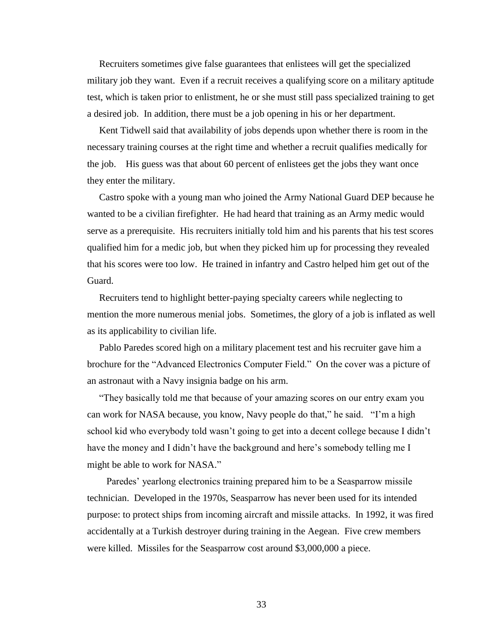Recruiters sometimes give false guarantees that enlistees will get the specialized military job they want. Even if a recruit receives a qualifying score on a military aptitude test, which is taken prior to enlistment, he or she must still pass specialized training to get a desired job. In addition, there must be a job opening in his or her department.

 Kent Tidwell said that availability of jobs depends upon whether there is room in the necessary training courses at the right time and whether a recruit qualifies medically for the job. His guess was that about 60 percent of enlistees get the jobs they want once they enter the military.

 Castro spoke with a young man who joined the Army National Guard DEP because he wanted to be a civilian firefighter. He had heard that training as an Army medic would serve as a prerequisite. His recruiters initially told him and his parents that his test scores qualified him for a medic job, but when they picked him up for processing they revealed that his scores were too low. He trained in infantry and Castro helped him get out of the Guard.

Recruiters tend to highlight better-paying specialty careers while neglecting to mention the more numerous menial jobs. Sometimes, the glory of a job is inflated as well as its applicability to civilian life.

 Pablo Paredes scored high on a military placement test and his recruiter gave him a brochure for the "Advanced Electronics Computer Field." On the cover was a picture of an astronaut with a Navy insignia badge on his arm.

 ―They basically told me that because of your amazing scores on our entry exam you can work for NASA because, you know, Navy people do that," he said. "I'm a high school kid who everybody told wasn't going to get into a decent college because I didn't have the money and I didn't have the background and here's somebody telling me I might be able to work for NASA."

 Paredes' yearlong electronics training prepared him to be a Seasparrow missile technician. Developed in the 1970s, Seasparrow has never been used for its intended purpose: to protect ships from incoming aircraft and missile attacks. In 1992, it was fired accidentally at a Turkish destroyer during training in the Aegean. Five crew members were killed. Missiles for the Seasparrow cost around \$3,000,000 a piece.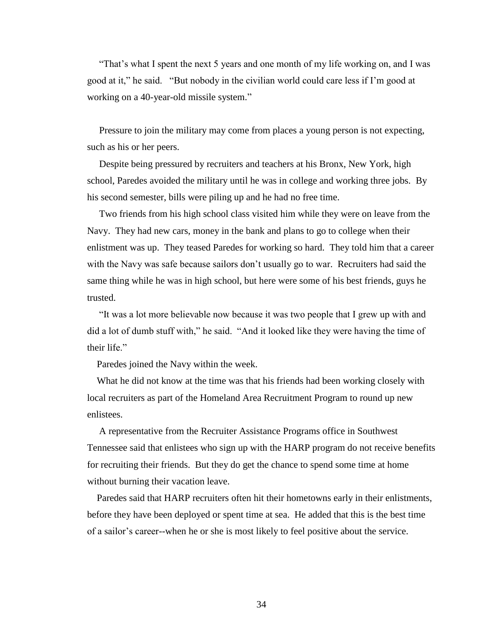―That's what I spent the next 5 years and one month of my life working on, and I was good at it," he said. "But nobody in the civilian world could care less if I'm good at working on a 40-year-old missile system."

 Pressure to join the military may come from places a young person is not expecting, such as his or her peers.

 Despite being pressured by recruiters and teachers at his Bronx, New York, high school, Paredes avoided the military until he was in college and working three jobs. By his second semester, bills were piling up and he had no free time.

 Two friends from his high school class visited him while they were on leave from the Navy. They had new cars, money in the bank and plans to go to college when their enlistment was up. They teased Paredes for working so hard. They told him that a career with the Navy was safe because sailors don't usually go to war. Recruiters had said the same thing while he was in high school, but here were some of his best friends, guys he trusted.

 ―It was a lot more believable now because it was two people that I grew up with and did a lot of dumb stuff with," he said. "And it looked like they were having the time of their life."

Paredes joined the Navy within the week.

 What he did not know at the time was that his friends had been working closely with local recruiters as part of the Homeland Area Recruitment Program to round up new enlistees.

 A representative from the Recruiter Assistance Programs office in Southwest Tennessee said that enlistees who sign up with the HARP program do not receive benefits for recruiting their friends. But they do get the chance to spend some time at home without burning their vacation leave.

 Paredes said that HARP recruiters often hit their hometowns early in their enlistments, before they have been deployed or spent time at sea. He added that this is the best time of a sailor's career--when he or she is most likely to feel positive about the service.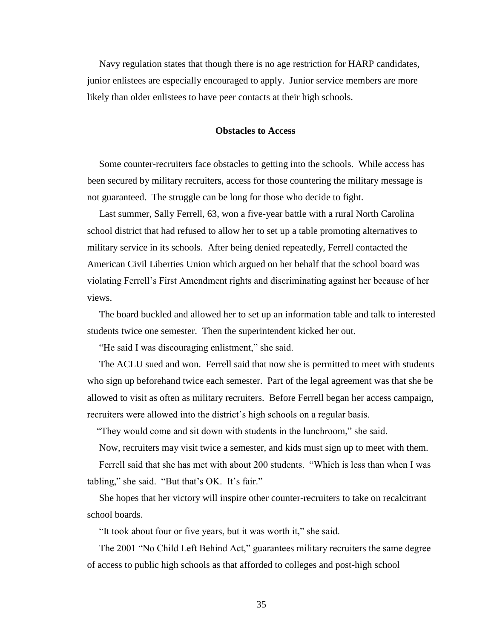Navy regulation states that though there is no age restriction for HARP candidates, junior enlistees are especially encouraged to apply. Junior service members are more likely than older enlistees to have peer contacts at their high schools.

#### **Obstacles to Access**

 Some counter-recruiters face obstacles to getting into the schools. While access has been secured by military recruiters, access for those countering the military message is not guaranteed. The struggle can be long for those who decide to fight.

 Last summer, Sally Ferrell, 63, won a five-year battle with a rural North Carolina school district that had refused to allow her to set up a table promoting alternatives to military service in its schools. After being denied repeatedly, Ferrell contacted the American Civil Liberties Union which argued on her behalf that the school board was violating Ferrell's First Amendment rights and discriminating against her because of her views.

 The board buckled and allowed her to set up an information table and talk to interested students twice one semester. Then the superintendent kicked her out.

"He said I was discouraging enlistment," she said.

 The ACLU sued and won. Ferrell said that now she is permitted to meet with students who sign up beforehand twice each semester. Part of the legal agreement was that she be allowed to visit as often as military recruiters. Before Ferrell began her access campaign, recruiters were allowed into the district's high schools on a regular basis.

"They would come and sit down with students in the lunchroom," she said.

Now, recruiters may visit twice a semester, and kids must sign up to meet with them.

Ferrell said that she has met with about 200 students. "Which is less than when I was tabling," she said. "But that's  $OK.$  It's fair."

 She hopes that her victory will inspire other counter-recruiters to take on recalcitrant school boards.

"It took about four or five years, but it was worth it," she said.

The 2001 "No Child Left Behind Act," guarantees military recruiters the same degree of access to public high schools as that afforded to colleges and post-high school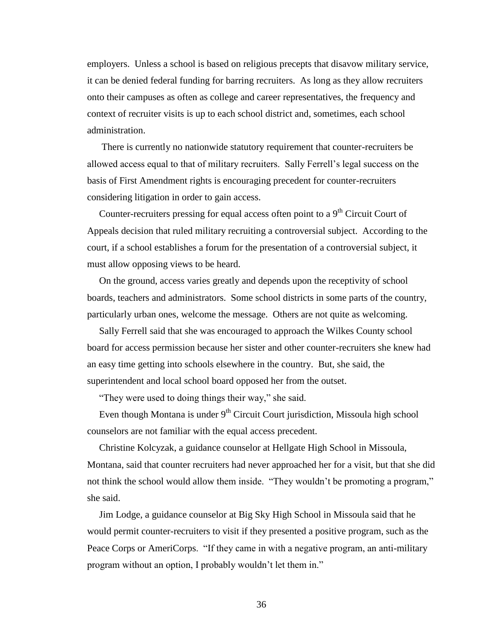employers. Unless a school is based on religious precepts that disavow military service, it can be denied federal funding for barring recruiters. As long as they allow recruiters onto their campuses as often as college and career representatives, the frequency and context of recruiter visits is up to each school district and, sometimes, each school administration.

 There is currently no nationwide statutory requirement that counter-recruiters be allowed access equal to that of military recruiters. Sally Ferrell's legal success on the basis of First Amendment rights is encouraging precedent for counter-recruiters considering litigation in order to gain access.

Counter-recruiters pressing for equal access often point to a  $9<sup>th</sup>$  Circuit Court of Appeals decision that ruled military recruiting a controversial subject. According to the court, if a school establishes a forum for the presentation of a controversial subject, it must allow opposing views to be heard.

 On the ground, access varies greatly and depends upon the receptivity of school boards, teachers and administrators. Some school districts in some parts of the country, particularly urban ones, welcome the message. Others are not quite as welcoming.

 Sally Ferrell said that she was encouraged to approach the Wilkes County school board for access permission because her sister and other counter-recruiters she knew had an easy time getting into schools elsewhere in the country. But, she said, the superintendent and local school board opposed her from the outset.

"They were used to doing things their way," she said.

Even though Montana is under  $9<sup>th</sup>$  Circuit Court jurisdiction, Missoula high school counselors are not familiar with the equal access precedent.

 Christine Kolcyzak, a guidance counselor at Hellgate High School in Missoula, Montana, said that counter recruiters had never approached her for a visit, but that she did not think the school would allow them inside. "They wouldn't be promoting a program," she said.

 Jim Lodge, a guidance counselor at Big Sky High School in Missoula said that he would permit counter-recruiters to visit if they presented a positive program, such as the Peace Corps or AmeriCorps. "If they came in with a negative program, an anti-military program without an option, I probably wouldn't let them in."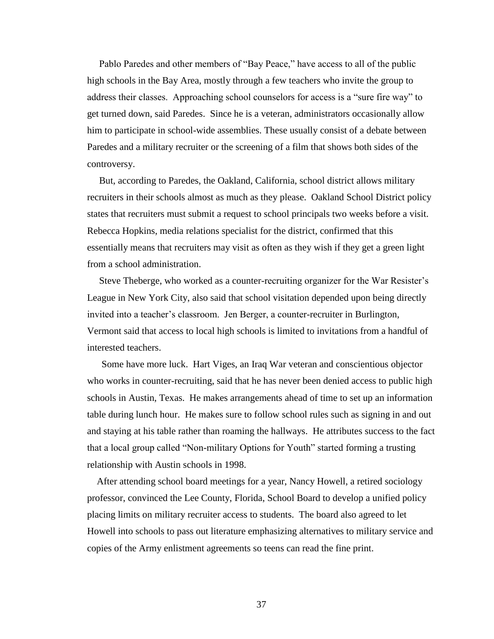Pablo Paredes and other members of "Bay Peace," have access to all of the public high schools in the Bay Area, mostly through a few teachers who invite the group to address their classes. Approaching school counselors for access is a "sure fire way" to get turned down, said Paredes. Since he is a veteran, administrators occasionally allow him to participate in school-wide assemblies. These usually consist of a debate between Paredes and a military recruiter or the screening of a film that shows both sides of the controversy.

 But, according to Paredes, the Oakland, California, school district allows military recruiters in their schools almost as much as they please. Oakland School District policy states that recruiters must submit a request to school principals two weeks before a visit. Rebecca Hopkins, media relations specialist for the district, confirmed that this essentially means that recruiters may visit as often as they wish if they get a green light from a school administration.

 Steve Theberge, who worked as a counter-recruiting organizer for the War Resister's League in New York City, also said that school visitation depended upon being directly invited into a teacher's classroom. Jen Berger, a counter-recruiter in Burlington, Vermont said that access to local high schools is limited to invitations from a handful of interested teachers.

 Some have more luck. Hart Viges, an Iraq War veteran and conscientious objector who works in counter-recruiting, said that he has never been denied access to public high schools in Austin, Texas. He makes arrangements ahead of time to set up an information table during lunch hour. He makes sure to follow school rules such as signing in and out and staying at his table rather than roaming the hallways. He attributes success to the fact that a local group called "Non-military Options for Youth" started forming a trusting relationship with Austin schools in 1998.

 After attending school board meetings for a year, Nancy Howell, a retired sociology professor, convinced the Lee County, Florida, School Board to develop a unified policy placing limits on military recruiter access to students. The board also agreed to let Howell into schools to pass out literature emphasizing alternatives to military service and copies of the Army enlistment agreements so teens can read the fine print.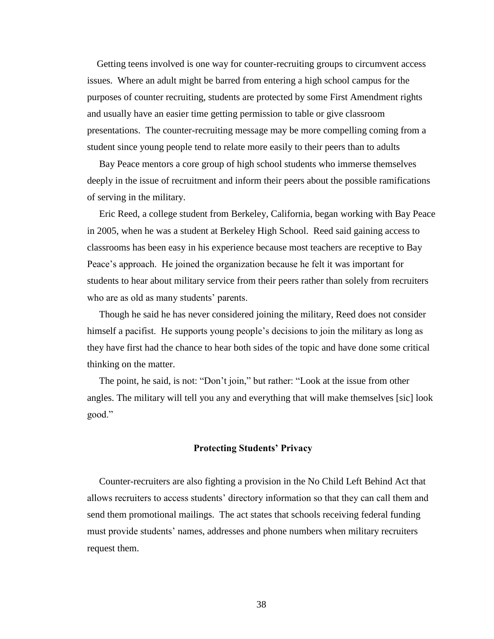Getting teens involved is one way for counter-recruiting groups to circumvent access issues. Where an adult might be barred from entering a high school campus for the purposes of counter recruiting, students are protected by some First Amendment rights and usually have an easier time getting permission to table or give classroom presentations. The counter-recruiting message may be more compelling coming from a student since young people tend to relate more easily to their peers than to adults

 Bay Peace mentors a core group of high school students who immerse themselves deeply in the issue of recruitment and inform their peers about the possible ramifications of serving in the military.

 Eric Reed, a college student from Berkeley, California, began working with Bay Peace in 2005, when he was a student at Berkeley High School. Reed said gaining access to classrooms has been easy in his experience because most teachers are receptive to Bay Peace's approach. He joined the organization because he felt it was important for students to hear about military service from their peers rather than solely from recruiters who are as old as many students' parents.

 Though he said he has never considered joining the military, Reed does not consider himself a pacifist. He supports young people's decisions to join the military as long as they have first had the chance to hear both sides of the topic and have done some critical thinking on the matter.

The point, he said, is not: "Don't join," but rather: "Look at the issue from other angles. The military will tell you any and everything that will make themselves [sic] look good."

### **Protecting Students' Privacy**

Counter-recruiters are also fighting a provision in the No Child Left Behind Act that allows recruiters to access students' directory information so that they can call them and send them promotional mailings. The act states that schools receiving federal funding must provide students' names, addresses and phone numbers when military recruiters request them.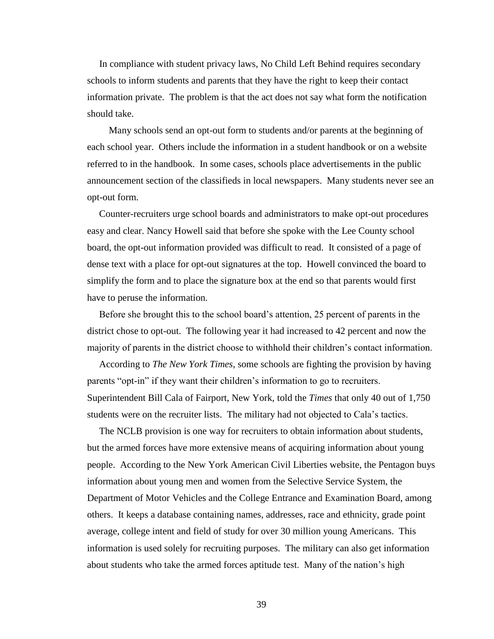In compliance with student privacy laws, No Child Left Behind requires secondary schools to inform students and parents that they have the right to keep their contact information private. The problem is that the act does not say what form the notification should take.

 Many schools send an opt-out form to students and/or parents at the beginning of each school year. Others include the information in a student handbook or on a website referred to in the handbook. In some cases, schools place advertisements in the public announcement section of the classifieds in local newspapers. Many students never see an opt-out form.

 Counter-recruiters urge school boards and administrators to make opt-out procedures easy and clear. Nancy Howell said that before she spoke with the Lee County school board, the opt-out information provided was difficult to read. It consisted of a page of dense text with a place for opt-out signatures at the top. Howell convinced the board to simplify the form and to place the signature box at the end so that parents would first have to peruse the information.

 Before she brought this to the school board's attention, 25 percent of parents in the district chose to opt-out. The following year it had increased to 42 percent and now the majority of parents in the district choose to withhold their children's contact information.

 According to *The New York Times*, some schools are fighting the provision by having parents "opt-in" if they want their children's information to go to recruiters. Superintendent Bill Cala of Fairport, New York, told the *Times* that only 40 out of 1,750 students were on the recruiter lists. The military had not objected to Cala's tactics.

 The NCLB provision is one way for recruiters to obtain information about students, but the armed forces have more extensive means of acquiring information about young people. According to the New York American Civil Liberties website, the Pentagon buys information about young men and women from the Selective Service System, the Department of Motor Vehicles and the College Entrance and Examination Board, among others. It keeps a database containing names, addresses, race and ethnicity, grade point average, college intent and field of study for over 30 million young Americans. This information is used solely for recruiting purposes. The military can also get information about students who take the armed forces aptitude test. Many of the nation's high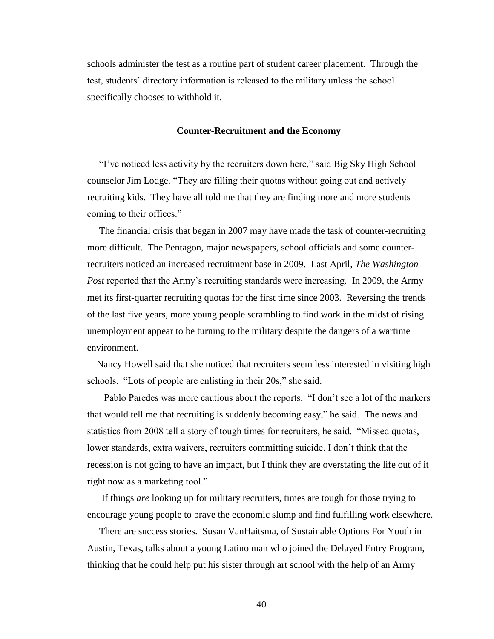schools administer the test as a routine part of student career placement. Through the test, students' directory information is released to the military unless the school specifically chooses to withhold it.

### **Counter-Recruitment and the Economy**

**The interpretent activity by the recruiters down here," said Big Sky High School** counselor Jim Lodge. "They are filling their quotas without going out and actively recruiting kids. They have all told me that they are finding more and more students coming to their offices."

The financial crisis that began in 2007 may have made the task of counter-recruiting more difficult. The Pentagon, major newspapers, school officials and some counterrecruiters noticed an increased recruitment base in 2009. Last April, *The Washington Post* reported that the Army's recruiting standards were increasing. In 2009, the Army met its first-quarter recruiting quotas for the first time since 2003. Reversing the trends of the last five years, more young people scrambling to find work in the midst of rising unemployment appear to be turning to the military despite the dangers of a wartime environment.

 Nancy Howell said that she noticed that recruiters seem less interested in visiting high schools. "Lots of people are enlisting in their 20s," she said.

Pablo Paredes was more cautious about the reports. "I don't see a lot of the markers" that would tell me that recruiting is suddenly becoming easy," he said. The news and statistics from 2008 tell a story of tough times for recruiters, he said. "Missed quotas, lower standards, extra waivers, recruiters committing suicide. I don't think that the recession is not going to have an impact, but I think they are overstating the life out of it right now as a marketing tool."

 If things *are* looking up for military recruiters, times are tough for those trying to encourage young people to brave the economic slump and find fulfilling work elsewhere.

 There are success stories. Susan VanHaitsma, of Sustainable Options For Youth in Austin, Texas, talks about a young Latino man who joined the Delayed Entry Program, thinking that he could help put his sister through art school with the help of an Army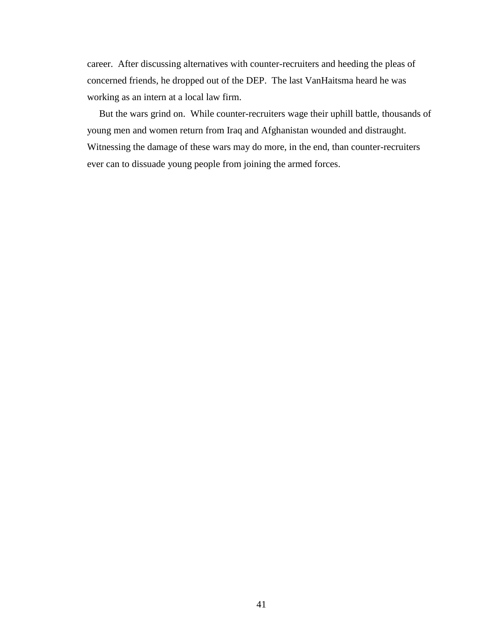career. After discussing alternatives with counter-recruiters and heeding the pleas of concerned friends, he dropped out of the DEP. The last VanHaitsma heard he was working as an intern at a local law firm.

 But the wars grind on. While counter-recruiters wage their uphill battle, thousands of young men and women return from Iraq and Afghanistan wounded and distraught. Witnessing the damage of these wars may do more, in the end, than counter-recruiters ever can to dissuade young people from joining the armed forces.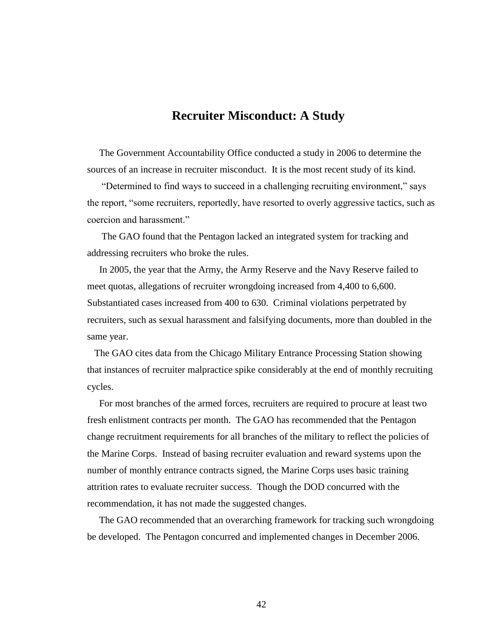## **Recruiter Misconduct: A Study**

 The Government Accountability Office conducted a study in 2006 to determine the sources of an increase in recruiter misconduct. It is the most recent study of its kind.

"Determined to find ways to succeed in a challenging recruiting environment," says the report, "some recruiters, reportedly, have resorted to overly aggressive tactics, such as coercion and harassment."

 The GAO found that the Pentagon lacked an integrated system for tracking and addressing recruiters who broke the rules.

 In 2005, the year that the Army, the Army Reserve and the Navy Reserve failed to meet quotas, allegations of recruiter wrongdoing increased from 4,400 to 6,600. Substantiated cases increased from 400 to 630. Criminal violations perpetrated by recruiters, such as sexual harassment and falsifying documents, more than doubled in the same year.

 The GAO cites data from the Chicago Military Entrance Processing Station showing that instances of recruiter malpractice spike considerably at the end of monthly recruiting cycles.

 For most branches of the armed forces, recruiters are required to procure at least two fresh enlistment contracts per month. The GAO has recommended that the Pentagon change recruitment requirements for all branches of the military to reflect the policies of the Marine Corps. Instead of basing recruiter evaluation and reward systems upon the number of monthly entrance contracts signed, the Marine Corps uses basic training attrition rates to evaluate recruiter success. Though the DOD concurred with the recommendation, it has not made the suggested changes.

 The GAO recommended that an overarching framework for tracking such wrongdoing be developed. The Pentagon concurred and implemented changes in December 2006.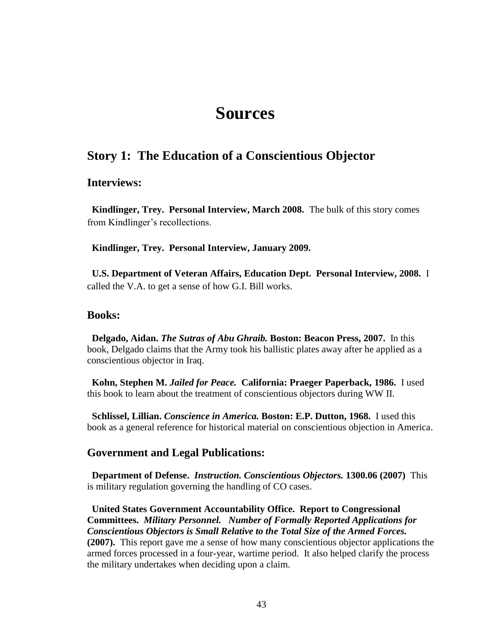## **Sources**

## **Story 1: The Education of a Conscientious Objector**

## **Interviews:**

 **Kindlinger, Trey. Personal Interview, March 2008.** The bulk of this story comes from Kindlinger's recollections.

 **Kindlinger, Trey. Personal Interview, January 2009.**

 **U.S. Department of Veteran Affairs, Education Dept. Personal Interview, 2008.** I called the V.A. to get a sense of how G.I. Bill works.

## **Books:**

 **Delgado, Aidan.** *The Sutras of Abu Ghraib.* **Boston: Beacon Press, 2007.** In this book, Delgado claims that the Army took his ballistic plates away after he applied as a conscientious objector in Iraq.

 **Kohn, Stephen M.** *Jailed for Peace.* **California: Praeger Paperback, 1986.** I used this book to learn about the treatment of conscientious objectors during WW II.

 **Schlissel, Lillian.** *Conscience in America.* **Boston: E.P. Dutton, 1968.** I used this book as a general reference for historical material on conscientious objection in America.

## **Government and Legal Publications:**

 **Department of Defense.** *Instruction. Conscientious Objectors.* **1300.06 (2007)** This is military regulation governing the handling of CO cases.

 **United States Government Accountability Office. Report to Congressional Committees.** *Military Personnel. Number of Formally Reported Applications for Conscientious Objectors is Small Relative to the Total Size of the Armed Forces.* **(2007).** This report gave me a sense of how many conscientious objector applications the armed forces processed in a four-year, wartime period. It also helped clarify the process the military undertakes when deciding upon a claim.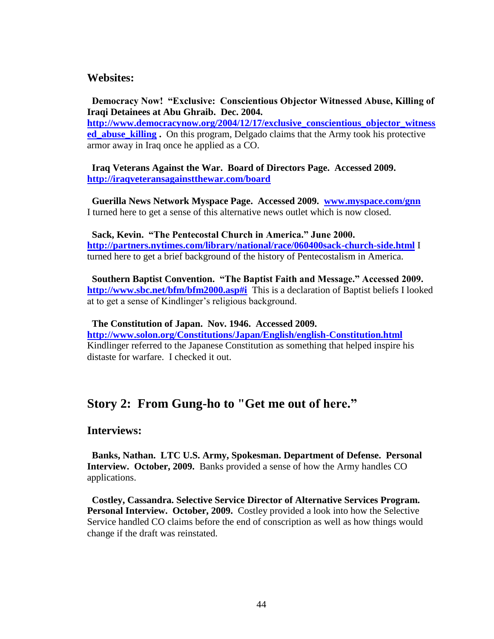## **Websites:**

 **Democracy Now! "Exclusive: Conscientious Objector Witnessed Abuse, Killing of Iraqi Detainees at Abu Ghraib. Dec. 2004.** 

**[http://www.democracynow.org/2004/12/17/exclusive\\_conscientious\\_objector\\_witness](http://www.democracynow.org/2004/12/17/exclusive_conscientious_objector_witnessed_abuse_killing) [ed\\_abuse\\_killing](http://www.democracynow.org/2004/12/17/exclusive_conscientious_objector_witnessed_abuse_killing).** On this program, Delgado claims that the Army took his protective armor away in Iraq once he applied as a CO.

 **Iraq Veterans Against the War. Board of Directors Page. Accessed 2009. <http://iraqveteransagainstthewar.com/board>**

 **Guerilla News Network Myspace Page. Accessed 2009. [www.myspace.com/gnn](http://www.myspace.com/gnn)** I turned here to get a sense of this alternative news outlet which is now closed.

 **Sack, Kevin. "The Pentecostal Church in America." June 2000. <http://partners.nytimes.com/library/national/race/060400sack-church-side.html>** I turned here to get a brief background of the history of Pentecostalism in America.

 **Southern Baptist Convention. "The Baptist Faith and Message." Accessed 2009. <http://www.sbc.net/bfm/bfm2000.asp#i>** This is a declaration of Baptist beliefs I looked at to get a sense of Kindlinger's religious background.

 **The Constitution of Japan. Nov. 1946. Accessed 2009. <http://www.solon.org/Constitutions/Japan/English/english-Constitution.html>** Kindlinger referred to the Japanese Constitution as something that helped inspire his distaste for warfare. I checked it out.

## **Story 2: From Gung-ho to "Get me out of here."**

## **Interviews:**

 **Banks, Nathan. LTC U.S. Army, Spokesman. Department of Defense. Personal Interview. October, 2009.** Banks provided a sense of how the Army handles CO applications.

 **Costley, Cassandra. Selective Service Director of Alternative Services Program. Personal Interview. October, 2009.** Costley provided a look into how the Selective Service handled CO claims before the end of conscription as well as how things would change if the draft was reinstated.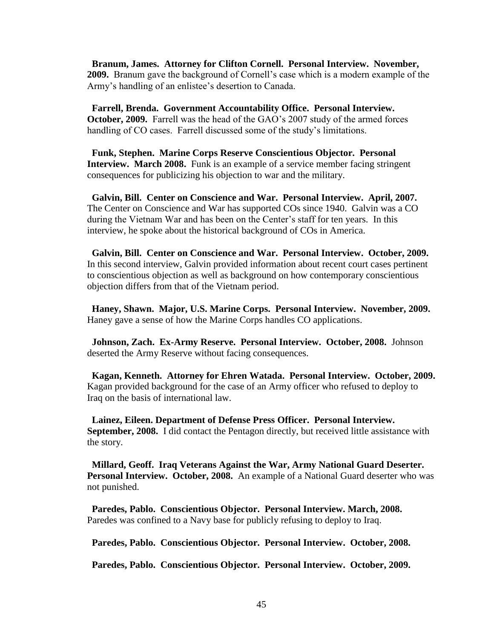**Branum, James. Attorney for Clifton Cornell. Personal Interview. November, 2009.** Branum gave the background of Cornell's case which is a modern example of the Army's handling of an enlistee's desertion to Canada.

 **Farrell, Brenda. Government Accountability Office. Personal Interview. October, 2009.** Farrell was the head of the GAO's 2007 study of the armed forces handling of CO cases. Farrell discussed some of the study's limitations.

 **Funk, Stephen. Marine Corps Reserve Conscientious Objector. Personal Interview. March 2008.** Funk is an example of a service member facing stringent consequences for publicizing his objection to war and the military.

 **Galvin, Bill. Center on Conscience and War. Personal Interview. April, 2007.**  The Center on Conscience and War has supported COs since 1940. Galvin was a CO during the Vietnam War and has been on the Center's staff for ten years. In this interview, he spoke about the historical background of COs in America.

 **Galvin, Bill. Center on Conscience and War. Personal Interview. October, 2009.**  In this second interview, Galvin provided information about recent court cases pertinent to conscientious objection as well as background on how contemporary conscientious objection differs from that of the Vietnam period.

 **Haney, Shawn. Major, U.S. Marine Corps. Personal Interview. November, 2009.**  Haney gave a sense of how the Marine Corps handles CO applications.

 **Johnson, Zach. Ex-Army Reserve. Personal Interview. October, 2008.** Johnson deserted the Army Reserve without facing consequences.

 **Kagan, Kenneth. Attorney for Ehren Watada. Personal Interview. October, 2009.**  Kagan provided background for the case of an Army officer who refused to deploy to Iraq on the basis of international law.

 **Lainez, Eileen. Department of Defense Press Officer. Personal Interview. September, 2008.** I did contact the Pentagon directly, but received little assistance with the story.

 **Millard, Geoff. Iraq Veterans Against the War, Army National Guard Deserter. Personal Interview. October, 2008.** An example of a National Guard deserter who was not punished.

 **Paredes, Pablo. Conscientious Objector. Personal Interview. March, 2008.**  Paredes was confined to a Navy base for publicly refusing to deploy to Iraq.

 **Paredes, Pablo. Conscientious Objector. Personal Interview. October, 2008.**

 **Paredes, Pablo. Conscientious Objector. Personal Interview. October, 2009.**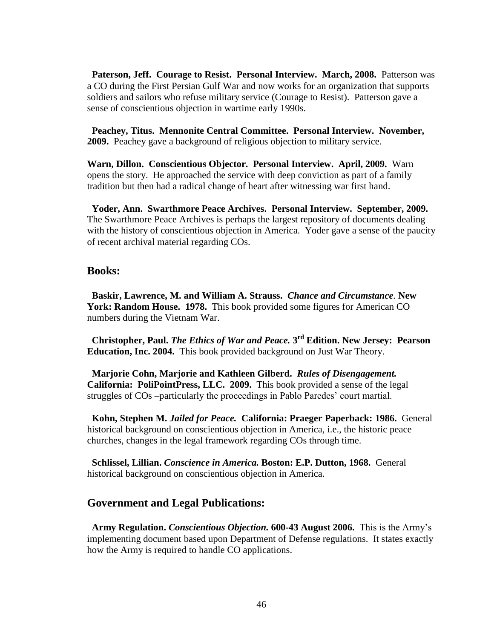**Paterson, Jeff. Courage to Resist. Personal Interview. March, 2008.** Patterson was a CO during the First Persian Gulf War and now works for an organization that supports soldiers and sailors who refuse military service (Courage to Resist). Patterson gave a sense of conscientious objection in wartime early 1990s.

 **Peachey, Titus. Mennonite Central Committee. Personal Interview. November, 2009.** Peachey gave a background of religious objection to military service.

**Warn, Dillon. Conscientious Objector. Personal Interview. April, 2009.** Warn opens the story. He approached the service with deep conviction as part of a family tradition but then had a radical change of heart after witnessing war first hand.

 **Yoder, Ann. Swarthmore Peace Archives. Personal Interview. September, 2009.**  The Swarthmore Peace Archives is perhaps the largest repository of documents dealing with the history of conscientious objection in America. Yoder gave a sense of the paucity of recent archival material regarding COs.

## **Books:**

 **Baskir, Lawrence, M. and William A. Strauss.** *Chance and Circumstance.* **New York: Random House. 1978.** This book provided some figures for American CO numbers during the Vietnam War.

 **Christopher, Paul.** *The Ethics of War and Peace.* **3 rd Edition. New Jersey: Pearson Education, Inc. 2004.** This book provided background on Just War Theory.

 **Marjorie Cohn, Marjorie and Kathleen Gilberd.** *Rules of Disengagement.*  **California: PoliPointPress, LLC. 2009.** This book provided a sense of the legal struggles of COs –particularly the proceedings in Pablo Paredes' court martial.

 **Kohn, Stephen M.** *Jailed for Peace.* **California: Praeger Paperback: 1986.** General historical background on conscientious objection in America, i.e., the historic peace churches, changes in the legal framework regarding COs through time.

 **Schlissel, Lillian.** *Conscience in America.* **Boston: E.P. Dutton, 1968.** General historical background on conscientious objection in America.

## **Government and Legal Publications:**

 **Army Regulation.** *Conscientious Objection.* **600-43 August 2006.** This is the Army's implementing document based upon Department of Defense regulations. It states exactly how the Army is required to handle CO applications.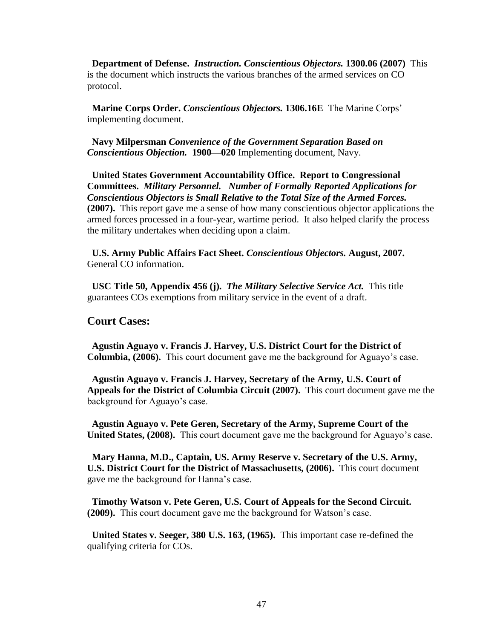**Department of Defense.** *Instruction. Conscientious Objectors.* **1300.06 (2007)** This is the document which instructs the various branches of the armed services on CO protocol.

 **Marine Corps Order.** *Conscientious Objectors.* **1306.16E** The Marine Corps' implementing document.

 **Navy Milpersman** *Convenience of the Government Separation Based on Conscientious Objection.* **1900—020** Implementing document, Navy.

 **United States Government Accountability Office. Report to Congressional Committees.** *Military Personnel. Number of Formally Reported Applications for Conscientious Objectors is Small Relative to the Total Size of the Armed Forces.* **(2007).** This report gave me a sense of how many conscientious objector applications the armed forces processed in a four-year, wartime period. It also helped clarify the process the military undertakes when deciding upon a claim.

 **U.S. Army Public Affairs Fact Sheet.** *Conscientious Objectors.* **August, 2007.**  General CO information.

 **USC Title 50, Appendix 456 (j).** *The Military Selective Service Act.* This title guarantees COs exemptions from military service in the event of a draft.

## **Court Cases:**

 **Agustin Aguayo v. Francis J. Harvey, U.S. District Court for the District of Columbia, (2006).** This court document gave me the background for Aguayo's case.

 **Agustin Aguayo v. Francis J. Harvey, Secretary of the Army, U.S. Court of Appeals for the District of Columbia Circuit (2007).** This court document gave me the background for Aguayo's case.

 **Agustin Aguayo v. Pete Geren, Secretary of the Army, Supreme Court of the United States, (2008).** This court document gave me the background for Aguayo's case.

 **Mary Hanna, M.D., Captain, US. Army Reserve v. Secretary of the U.S. Army, U.S. District Court for the District of Massachusetts, (2006).** This court document gave me the background for Hanna's case.

 **Timothy Watson v. Pete Geren, U.S. Court of Appeals for the Second Circuit. (2009).** This court document gave me the background for Watson's case.

 **United States v. Seeger, 380 U.S. 163, (1965).** This important case re-defined the qualifying criteria for COs.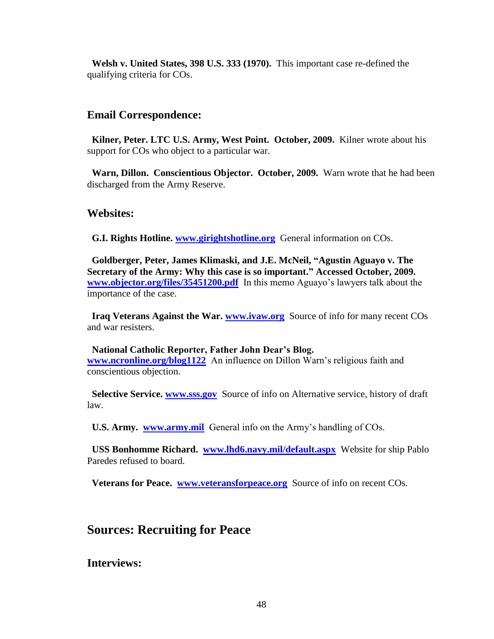**Welsh v. United States, 398 U.S. 333 (1970).** This important case re-defined the qualifying criteria for COs.

## **Email Correspondence:**

 **Kilner, Peter. LTC U.S. Army, West Point. October, 2009.** Kilner wrote about his support for COs who object to a particular war.

**Warn, Dillon. Conscientious Objector. October, 2009.** Warn wrote that he had been discharged from the Army Reserve.

## **Websites:**

 **G.I. Rights Hotline. [www.girightshotline.org](http://www.girightshotline.org/)** General information on COs.

 **Goldberger, Peter, James Klimaski, and J.E. McNeil, "Agustin Aguayo v. The Secretary of the Army: Why this case is so important." Accessed October, 2009. [www.objector.org/files/35451200.pdf](http://www.objector.org/files/35451200.pdf)** In this memo Aguayo's lawyers talk about the importance of the case.

 **Iraq Veterans Against the War. [www.ivaw.org](http://www.ivaw.org/)** Source of info for many recent COs and war resisters.

### **National Catholic Reporter, Father John Dear's Blog.**

**[www.ncronline.org/blog1122](http://www.ncronline.org/blog1122)** An influence on Dillon Warn's religious faith and conscientious objection.

 **Selective Service. [www.sss.gov](http://www.sss.gov/)** Source of info on Alternative service, history of draft law.

 **U.S. Army. [www.army.mil](http://www.army.mil/)** General info on the Army's handling of COs.

 **USS Bonhomme Richard. [www.lhd6.navy.mil/default.aspx](http://www.lhd6.navy.mil/default.aspx)** Website for ship Pablo Paredes refused to board.

 **Veterans for Peace. [www.veteransforpeace.org](http://www.veteransforpeace.org/)** Source of info on recent COs.

## **Sources: Recruiting for Peace**

**Interviews:**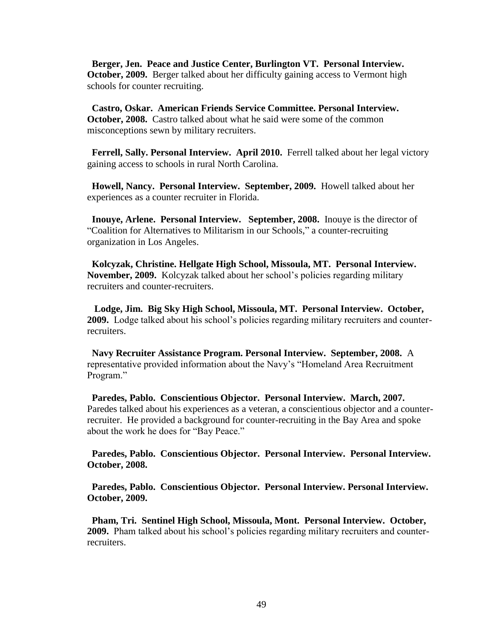**Berger, Jen. Peace and Justice Center, Burlington VT. Personal Interview. October, 2009.** Berger talked about her difficulty gaining access to Vermont high schools for counter recruiting.

 **Castro, Oskar. American Friends Service Committee. Personal Interview. October, 2008.** Castro talked about what he said were some of the common misconceptions sewn by military recruiters.

 **Ferrell, Sally. Personal Interview. April 2010.** Ferrell talked about her legal victory gaining access to schools in rural North Carolina.

 **Howell, Nancy. Personal Interview. September, 2009.** Howell talked about her experiences as a counter recruiter in Florida.

 **Inouye, Arlene. Personal Interview. September, 2008.** Inouye is the director of "Coalition for Alternatives to Militarism in our Schools," a counter-recruiting organization in Los Angeles.

**Kolcyzak, Christine. Hellgate High School, Missoula, MT. Personal Interview. November, 2009.** Kolcyzak talked about her school's policies regarding military recruiters and counter-recruiters.

 **Lodge, Jim. Big Sky High School, Missoula, MT. Personal Interview. October, 2009.** Lodge talked about his school's policies regarding military recruiters and counterrecruiters.

 **Navy Recruiter Assistance Program. Personal Interview. September, 2008.** A representative provided information about the Navy's "Homeland Area Recruitment Program."

 **Paredes, Pablo. Conscientious Objector. Personal Interview. March, 2007.**  Paredes talked about his experiences as a veteran, a conscientious objector and a counterrecruiter. He provided a background for counter-recruiting in the Bay Area and spoke about the work he does for "Bay Peace."

 **Paredes, Pablo. Conscientious Objector. Personal Interview. Personal Interview. October, 2008.**

 **Paredes, Pablo. Conscientious Objector. Personal Interview. Personal Interview. October, 2009.**

 **Pham, Tri. Sentinel High School, Missoula, Mont. Personal Interview. October, 2009.** Pham talked about his school's policies regarding military recruiters and counterrecruiters.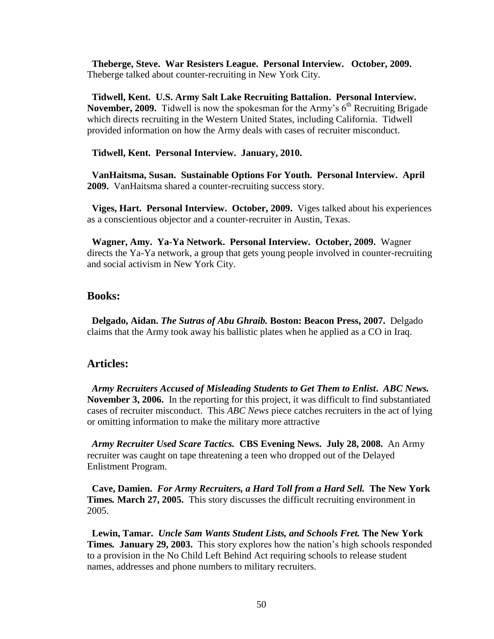**Theberge, Steve. War Resisters League. Personal Interview. October, 2009.**  Theberge talked about counter-recruiting in New York City.

 **Tidwell, Kent. U.S. Army Salt Lake Recruiting Battalion. Personal Interview. November, 2009.** Tidwell is now the spokesman for the Army's  $6<sup>th</sup>$  Recruiting Brigade which directs recruiting in the Western United States, including California. Tidwell provided information on how the Army deals with cases of recruiter misconduct.

### **Tidwell, Kent. Personal Interview. January, 2010.**

 **VanHaitsma, Susan. Sustainable Options For Youth. Personal Interview. April 2009.** VanHaitsma shared a counter-recruiting success story.

 **Viges, Hart. Personal Interview. October, 2009.** Viges talked about his experiences as a conscientious objector and a counter-recruiter in Austin, Texas.

 **Wagner, Amy. Ya-Ya Network. Personal Interview. October, 2009.** Wagner directs the Ya-Ya network, a group that gets young people involved in counter-recruiting and social activism in New York City.

### **Books:**

 **Delgado, Aidan.** *The Sutras of Abu Ghraib.* **Boston: Beacon Press, 2007.** Delgado claims that the Army took away his ballistic plates when he applied as a CO in Iraq.

## **Articles:**

 *Army Recruiters Accused of Misleading Students to Get Them to Enlist***.** *ABC News.* **November 3, 2006.** In the reporting for this project, it was difficult to find substantiated cases of recruiter misconduct. This *ABC News* piece catches recruiters in the act of lying or omitting information to make the military more attractive

 *Army Recruiter Used Scare Tactics.* **CBS Evening News.****July 28, 2008.** An Army recruiter was caught on tape threatening a teen who dropped out of the Delayed Enlistment Program.

 **Cave, Damien.** *For Army Recruiters, a Hard Toll from a Hard Sell.* **The New York Times***.* **March 27, 2005.** This story discusses the difficult recruiting environment in 2005.

 **Lewin, Tamar.** *Uncle Sam Wants Student Lists, and Schools Fret.* **The New York Times***.* **January 29, 2003.** This story explores how the nation's high schools responded to a provision in the No Child Left Behind Act requiring schools to release student names, addresses and phone numbers to military recruiters.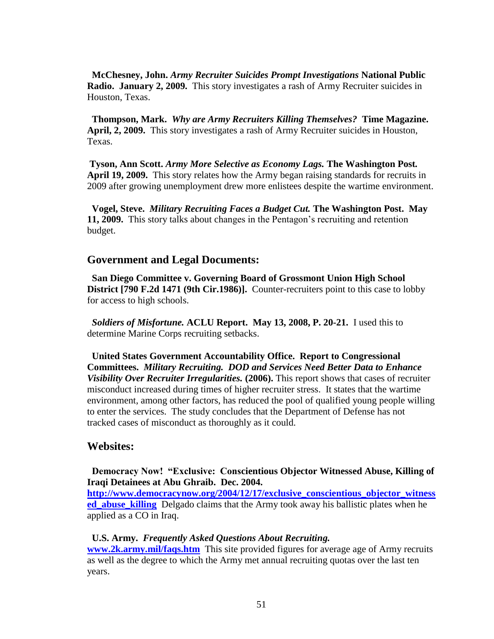**McChesney, John.** *Army Recruiter Suicides Prompt Investigations* **National Public Radio. January 2, 2009.** This story investigates a rash of Army Recruiter suicides in Houston, Texas.

 **Thompson, Mark.** *Why are Army Recruiters Killing Themselves?* **Time Magazine. April, 2, 2009.** This story investigates a rash of Army Recruiter suicides in Houston, Texas.

**Tyson, Ann Scott.** *Army More Selective as Economy Lags.* **The Washington Post***.* **April 19, 2009.** This story relates how the Army began raising standards for recruits in 2009 after growing unemployment drew more enlistees despite the wartime environment.

 **Vogel, Steve.** *Military Recruiting Faces a Budget Cut.* **The Washington Post. May 11, 2009.** This story talks about changes in the Pentagon's recruiting and retention budget.

### **Government and Legal Documents:**

 **San Diego Committee v. Governing Board of Grossmont Union High School District [790 F.2d 1471 (9th Cir.1986)].** Counter-recruiters point to this case to lobby for access to high schools.

 *Soldiers of Misfortune.* **ACLU Report. May 13, 2008, P. 20-21.** I used this to determine Marine Corps recruiting setbacks.

 **United States Government Accountability Office. Report to Congressional Committees.** *Military Recruiting.**DOD and Services Need Better Data to Enhance Visibility Over Recruiter Irregularities.* **(2006).** This report shows that cases of recruiter misconduct increased during times of higher recruiter stress. It states that the wartime environment, among other factors, has reduced the pool of qualified young people willing to enter the services. The study concludes that the Department of Defense has not tracked cases of misconduct as thoroughly as it could.

## **Websites:**

 **Democracy Now! "Exclusive: Conscientious Objector Witnessed Abuse, Killing of Iraqi Detainees at Abu Ghraib. Dec. 2004.** 

**[http://www.democracynow.org/2004/12/17/exclusive\\_conscientious\\_objector\\_witness](http://www.democracynow.org/2004/12/17/exclusive_conscientious_objector_witnessed_abuse_killing) ed\_abuse\_killing** Delgado claims that the Army took away his ballistic plates when he applied as a CO in Iraq.

### **U.S. Army.** *Frequently Asked Questions About Recruiting.*

**[www.2k.army.mil/faqs.htm](http://www.2k.army.mil/faqs.htm)** This site provided figures for average age of Army recruits as well as the degree to which the Army met annual recruiting quotas over the last ten years.